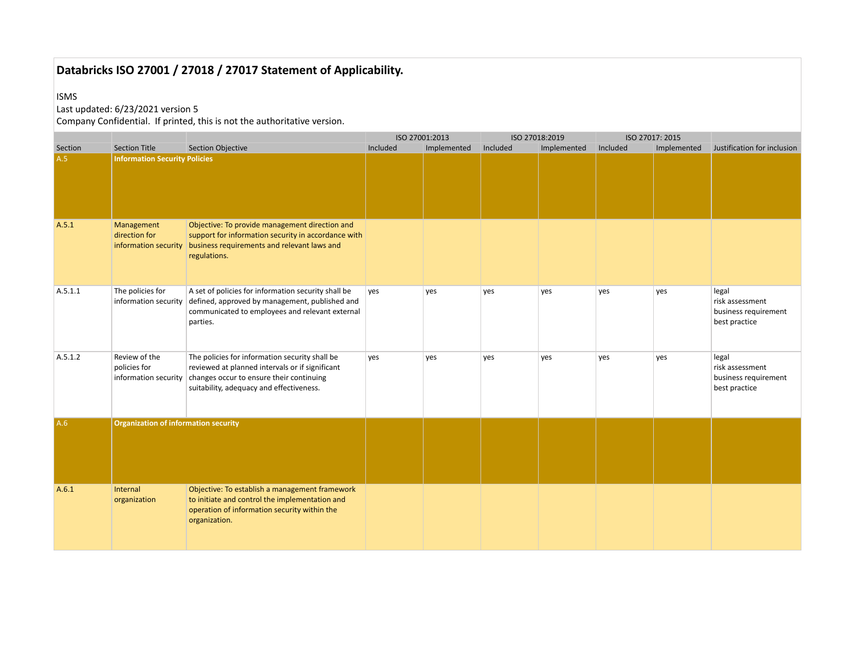#### ISMS

## Last updated: 6/23/2021 version 5

|              |                                                       |                                                                                                                                                                                           |          | ISO 27001:2013 |          | ISO 27018:2019 |          | ISO 27017: 2015 |                                                                   |
|--------------|-------------------------------------------------------|-------------------------------------------------------------------------------------------------------------------------------------------------------------------------------------------|----------|----------------|----------|----------------|----------|-----------------|-------------------------------------------------------------------|
| Section      | <b>Section Title</b>                                  | <b>Section Objective</b>                                                                                                                                                                  | Included | Implemented    | Included | Implemented    | Included | Implemented     | Justification for inclusion                                       |
| A.5<br>A.5.1 | <b>Information Security Policies</b><br>Management    | Objective: To provide management direction and                                                                                                                                            |          |                |          |                |          |                 |                                                                   |
|              | direction for<br>information security                 | support for information security in accordance with<br>business requirements and relevant laws and<br>regulations.                                                                        |          |                |          |                |          |                 |                                                                   |
| A.5.1.1      | The policies for<br>information security              | A set of policies for information security shall be<br>defined, approved by management, published and<br>communicated to employees and relevant external<br>parties.                      | yes      | yes            | yes      | yes            | yes      | yes             | legal<br>risk assessment<br>business requirement<br>best practice |
| A.5.1.2      | Review of the<br>policies for<br>information security | The policies for information security shall be<br>reviewed at planned intervals or if significant<br>changes occur to ensure their continuing<br>suitability, adequacy and effectiveness. | yes      | yes            | yes      | yes            | yes      | yes             | legal<br>risk assessment<br>business requirement<br>best practice |
| A.6          | <b>Organization of information security</b>           |                                                                                                                                                                                           |          |                |          |                |          |                 |                                                                   |
| A.6.1        | Internal<br>organization                              | Objective: To establish a management framework<br>to initiate and control the implementation and<br>operation of information security within the<br>organization.                         |          |                |          |                |          |                 |                                                                   |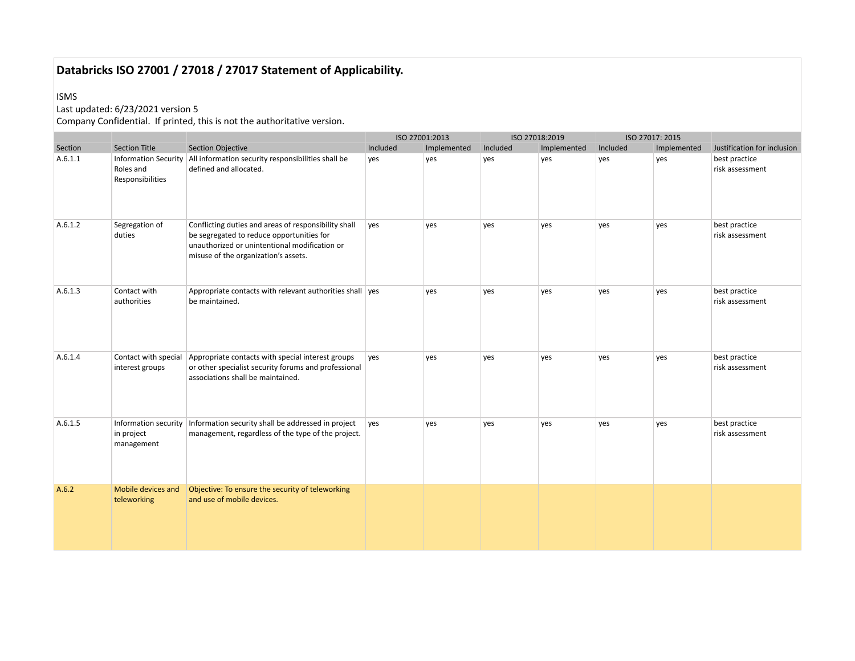#### ISMS

## Last updated: 6/23/2021 version 5

|         |                                                  |                                                                                                                                                                                            |          | ISO 27001:2013 |          | ISO 27018:2019 |          | ISO 27017: 2015 |                                  |
|---------|--------------------------------------------------|--------------------------------------------------------------------------------------------------------------------------------------------------------------------------------------------|----------|----------------|----------|----------------|----------|-----------------|----------------------------------|
| Section | <b>Section Title</b>                             | <b>Section Objective</b>                                                                                                                                                                   | Included | Implemented    | Included | Implemented    | Included | Implemented     | Justification for inclusion      |
| A.6.1.1 | Roles and<br>Responsibilities                    | Information Security   All information security responsibilities shall be<br>defined and allocated.                                                                                        | yes      | yes            | yes      | yes            | yes      | yes             | best practice<br>risk assessment |
| A.6.1.2 | Segregation of<br>duties                         | Conflicting duties and areas of responsibility shall<br>be segregated to reduce opportunities for<br>unauthorized or unintentional modification or<br>misuse of the organization's assets. | ves      | yes            | yes      | yes            | yes      | yes             | best practice<br>risk assessment |
| A.6.1.3 | Contact with<br>authorities                      | Appropriate contacts with relevant authorities shall ves<br>be maintained.                                                                                                                 |          | yes            | yes      | yes            | yes      | yes             | best practice<br>risk assessment |
| A.6.1.4 | Contact with special<br>interest groups          | Appropriate contacts with special interest groups<br>or other specialist security forums and professional<br>associations shall be maintained.                                             | ves      | yes            | yes      | yes            | yes      | yes             | best practice<br>risk assessment |
| A.6.1.5 | Information security<br>in project<br>management | Information security shall be addressed in project<br>management, regardless of the type of the project.                                                                                   | ves      | yes            | yes      | yes            | yes      | yes             | best practice<br>risk assessment |
| A.6.2   | Mobile devices and<br>teleworking                | Objective: To ensure the security of teleworking<br>and use of mobile devices.                                                                                                             |          |                |          |                |          |                 |                                  |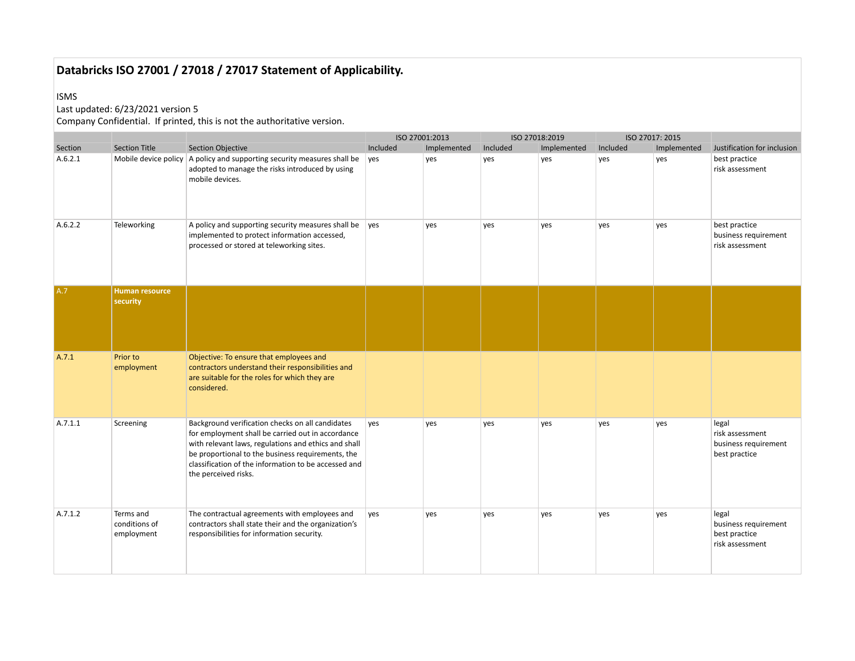#### ISMS

## Last updated: 6/23/2021 version 5

|         |                                          |                                                                                                                                                                                                                                                                                                    | ISO 27001:2013 |             |          | ISO 27018:2019 |          | ISO 27017: 2015 |                                                                   |
|---------|------------------------------------------|----------------------------------------------------------------------------------------------------------------------------------------------------------------------------------------------------------------------------------------------------------------------------------------------------|----------------|-------------|----------|----------------|----------|-----------------|-------------------------------------------------------------------|
| Section | <b>Section Title</b>                     | <b>Section Objective</b>                                                                                                                                                                                                                                                                           | Included       | Implemented | Included | Implemented    | Included | Implemented     | Justification for inclusion                                       |
| A.6.2.1 |                                          | Mobile device policy $\vert$ A policy and supporting security measures shall be<br>adopted to manage the risks introduced by using<br>mobile devices.                                                                                                                                              | yes            | yes         | yes      | yes            | yes      | yes             | best practice<br>risk assessment                                  |
| A.6.2.2 | Teleworking                              | A policy and supporting security measures shall be $\ $ yes<br>implemented to protect information accessed,<br>processed or stored at teleworking sites.                                                                                                                                           |                | yes         | yes      | yes            | yes      | yes             | best practice<br>business requirement<br>risk assessment          |
| A.7     | Human resource<br>security               |                                                                                                                                                                                                                                                                                                    |                |             |          |                |          |                 |                                                                   |
| A.7.1   | Prior to<br>employment                   | Objective: To ensure that employees and<br>contractors understand their responsibilities and<br>are suitable for the roles for which they are<br>considered.                                                                                                                                       |                |             |          |                |          |                 |                                                                   |
| A.7.1.1 | Screening                                | Background verification checks on all candidates<br>for employment shall be carried out in accordance<br>with relevant laws, regulations and ethics and shall<br>be proportional to the business requirements, the<br>classification of the information to be accessed and<br>the perceived risks. | yes            | yes         | yes      | yes            | yes      | yes             | legal<br>risk assessment<br>business requirement<br>best practice |
| A.7.1.2 | Terms and<br>conditions of<br>employment | The contractual agreements with employees and<br>contractors shall state their and the organization's<br>responsibilities for information security.                                                                                                                                                | yes            | yes         | yes      | yes            | yes      | yes             | legal<br>business requirement<br>best practice<br>risk assessment |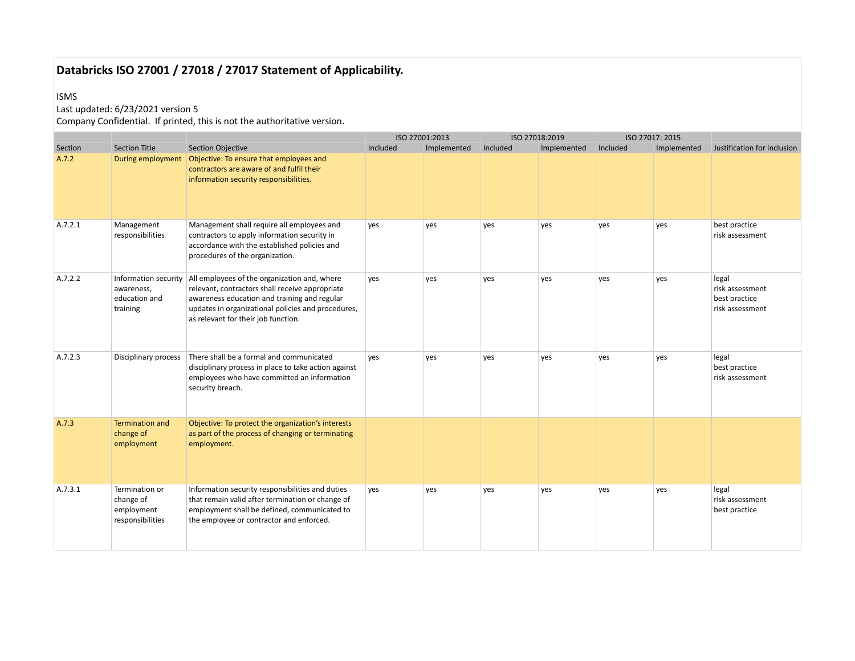#### ISMS

## Last updated: 6/23/2021 version 5

|         |                                                                 |                                                                                                                                                                                                                                              |          | ISO 27001:2013 |          | ISO 27018:2019 |          | ISO 27017: 2015 |                                                              |
|---------|-----------------------------------------------------------------|----------------------------------------------------------------------------------------------------------------------------------------------------------------------------------------------------------------------------------------------|----------|----------------|----------|----------------|----------|-----------------|--------------------------------------------------------------|
| Section | <b>Section Title</b>                                            | <b>Section Objective</b>                                                                                                                                                                                                                     | Included | Implemented    | Included | Implemented    | Included | Implemented     | Justification for inclusion                                  |
| A.7.2   |                                                                 | contractors are aware of and fulfil their<br>information security responsibilities.                                                                                                                                                          |          |                |          |                |          |                 |                                                              |
| A.7.2.1 | Management<br>responsibilities                                  | Management shall require all employees and<br>contractors to apply information security in<br>accordance with the established policies and<br>procedures of the organization.                                                                | yes      | yes            | yes      | yes            | yes      | yes             | best practice<br>risk assessment                             |
| A.7.2.2 | Information security<br>awareness,<br>education and<br>training | All employees of the organization and, where<br>relevant, contractors shall receive appropriate<br>awareness education and training and regular<br>updates in organizational policies and procedures,<br>as relevant for their job function. | yes      | yes            | yes      | yes            | yes      | yes             | legal<br>risk assessment<br>best practice<br>risk assessment |
| A.7.2.3 | Disciplinary process                                            | There shall be a formal and communicated<br>disciplinary process in place to take action against<br>employees who have committed an information<br>security breach.                                                                          | yes      | yes            | ves      | ves            | ves      | ves             | legal<br>best practice<br>risk assessment                    |
| A.7.3   | <b>Termination and</b><br>change of<br>employment               | Objective: To protect the organization's interests<br>as part of the process of changing or terminating<br>employment.                                                                                                                       |          |                |          |                |          |                 |                                                              |
| A.7.3.1 | Termination or<br>change of<br>employment<br>responsibilities   | Information security responsibilities and duties<br>that remain valid after termination or change of<br>employment shall be defined, communicated to<br>the employee or contractor and enforced.                                             | yes      | yes            | yes      | yes            | yes      | yes             | legal<br>risk assessment<br>best practice                    |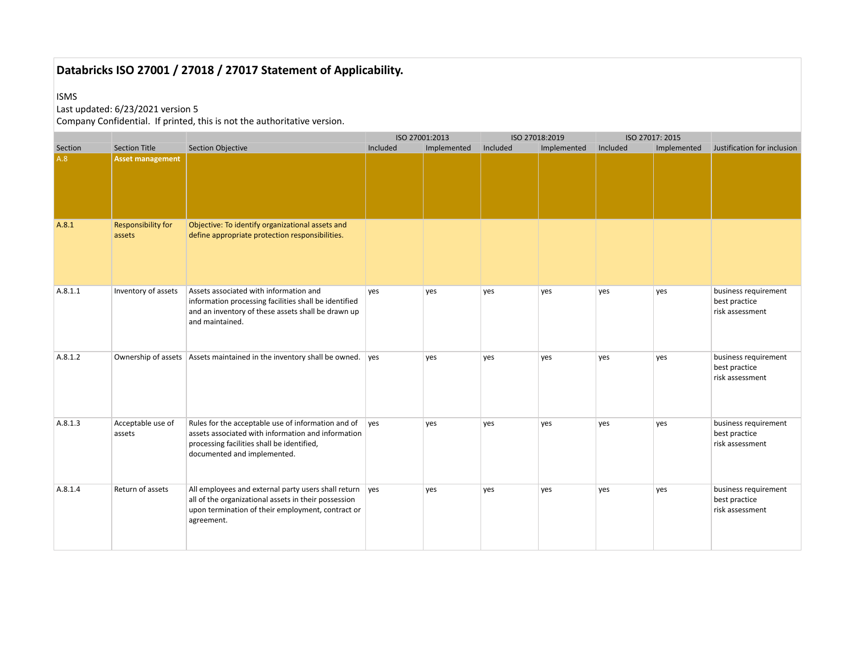#### ISMS

## Last updated: 6/23/2021 version 5

|         |                                     |                                                                                                                                                                                       |          | ISO 27001:2013 |          | ISO 27018:2019 |          | ISO 27017: 2015 |                                                          |
|---------|-------------------------------------|---------------------------------------------------------------------------------------------------------------------------------------------------------------------------------------|----------|----------------|----------|----------------|----------|-----------------|----------------------------------------------------------|
| Section | <b>Section Title</b>                | Section Objective                                                                                                                                                                     | Included | Implemented    | Included | Implemented    | Included | Implemented     | Justification for inclusion                              |
| A.8     | <b>Asset management</b>             |                                                                                                                                                                                       |          |                |          |                |          |                 |                                                          |
| A.8.1   | <b>Responsibility for</b><br>assets | Objective: To identify organizational assets and<br>define appropriate protection responsibilities.                                                                                   |          |                |          |                |          |                 |                                                          |
| A.8.1.1 | Inventory of assets                 | Assets associated with information and<br>information processing facilities shall be identified<br>and an inventory of these assets shall be drawn up<br>and maintained.              | yes      | yes            | yes      | yes            | yes      | yes             | business requirement<br>best practice<br>risk assessment |
| A.8.1.2 |                                     | Ownership of assets   Assets maintained in the inventory shall be owned. ves                                                                                                          |          | yes            | yes      | ves            | yes      | ves             | business requirement<br>best practice<br>risk assessment |
| A.8.1.3 | Acceptable use of<br>assets         | Rules for the acceptable use of information and of<br>assets associated with information and information<br>processing facilities shall be identified,<br>documented and implemented. | ves      | yes            | yes      | ves            | yes      | yes             | business requirement<br>best practice<br>risk assessment |
| A.8.1.4 | Return of assets                    | All employees and external party users shall return ves<br>all of the organizational assets in their possession<br>upon termination of their employment, contract or<br>agreement.    |          | yes            | yes      | ves            | yes      | yes             | business requirement<br>best practice<br>risk assessment |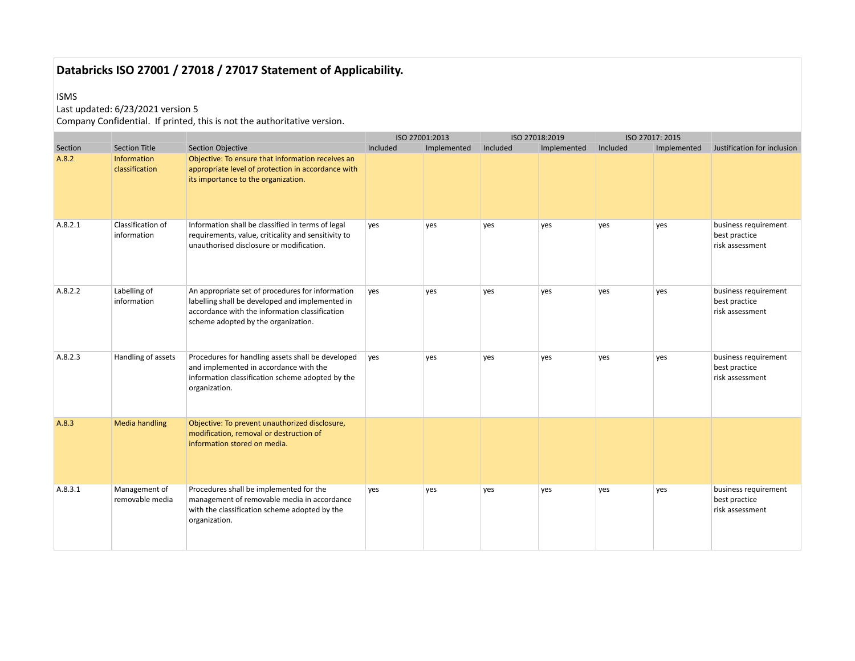#### ISMS

## Last updated: 6/23/2021 version 5

|         |                                  |                                                                                                                                                                                              |          | ISO 27001:2013 |          | ISO 27018:2019 |          | ISO 27017: 2015 |                                                          |
|---------|----------------------------------|----------------------------------------------------------------------------------------------------------------------------------------------------------------------------------------------|----------|----------------|----------|----------------|----------|-----------------|----------------------------------------------------------|
| Section | <b>Section Title</b>             | <b>Section Objective</b>                                                                                                                                                                     | Included | Implemented    | Included | Implemented    | Included | Implemented     | Justification for inclusion                              |
| A.8.2   | Information<br>classification    | Objective: To ensure that information receives an<br>appropriate level of protection in accordance with<br>its importance to the organization.                                               |          |                |          |                |          |                 |                                                          |
| A.8.2.1 | Classification of<br>information | Information shall be classified in terms of legal<br>requirements, value, criticality and sensitivity to<br>unauthorised disclosure or modification.                                         | yes      | yes            | yes      | yes            | yes      | yes             | business requirement<br>best practice<br>risk assessment |
| A.8.2.2 | Labelling of<br>information      | An appropriate set of procedures for information<br>labelling shall be developed and implemented in<br>accordance with the information classification<br>scheme adopted by the organization. | yes      | yes            | yes      | yes            | yes      | yes             | business requirement<br>best practice<br>risk assessment |
| A.8.2.3 | Handling of assets               | Procedures for handling assets shall be developed<br>and implemented in accordance with the<br>information classification scheme adopted by the<br>organization.                             | ves      | ves            | ves      | ves            | yes      | yes             | business requirement<br>best practice<br>risk assessment |
| A.8.3   | <b>Media handling</b>            | Objective: To prevent unauthorized disclosure,<br>modification, removal or destruction of<br>information stored on media.                                                                    |          |                |          |                |          |                 |                                                          |
| A.8.3.1 | Management of<br>removable media | Procedures shall be implemented for the<br>management of removable media in accordance<br>with the classification scheme adopted by the<br>organization.                                     | yes      | yes            | yes      | yes            | yes      | yes             | business requirement<br>best practice<br>risk assessment |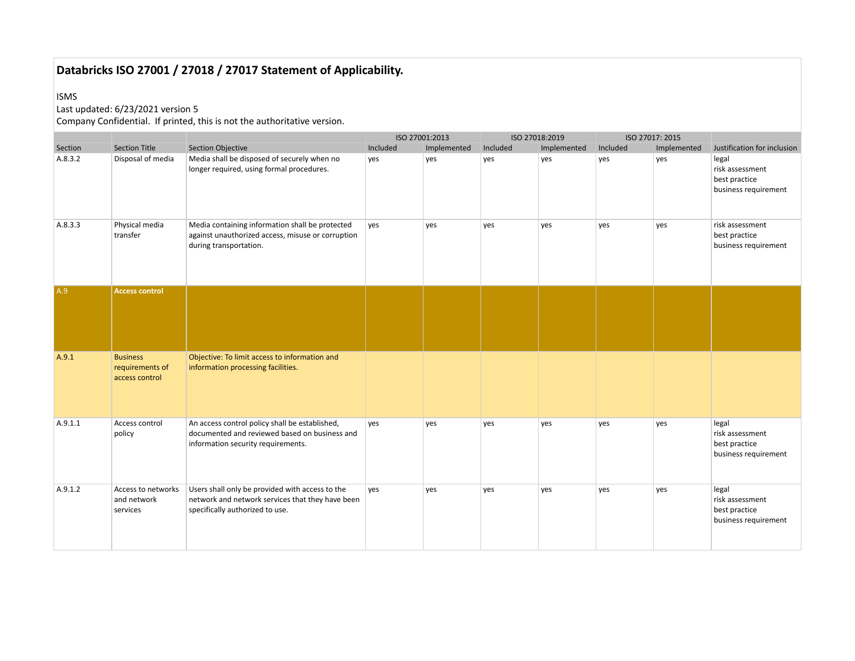#### ISMS

## Last updated: 6/23/2021 version 5

|         |                                                      |                                                                                                                                        | ISO 27001:2013 |             |          | ISO 27018:2019 |          | ISO 27017: 2015 |                                                                   |
|---------|------------------------------------------------------|----------------------------------------------------------------------------------------------------------------------------------------|----------------|-------------|----------|----------------|----------|-----------------|-------------------------------------------------------------------|
| Section | <b>Section Title</b>                                 | <b>Section Objective</b>                                                                                                               | Included       | Implemented | Included | Implemented    | Included | Implemented     | Justification for inclusion                                       |
| A.8.3.2 | Disposal of media                                    | Media shall be disposed of securely when no<br>longer required, using formal procedures.                                               | yes            | yes         | yes      | yes            | yes      | yes             | legal<br>risk assessment<br>best practice<br>business requirement |
| A.8.3.3 | Physical media<br>transfer                           | Media containing information shall be protected<br>against unauthorized access, misuse or corruption<br>during transportation.         | yes            | yes         | yes      | yes            | yes      | yes             | risk assessment<br>best practice<br>business requirement          |
| A.9     | <b>Access control</b>                                |                                                                                                                                        |                |             |          |                |          |                 |                                                                   |
| A.9.1   | <b>Business</b><br>requirements of<br>access control | Objective: To limit access to information and<br>information processing facilities.                                                    |                |             |          |                |          |                 |                                                                   |
| A.9.1.1 | Access control<br>policy                             | An access control policy shall be established,<br>documented and reviewed based on business and<br>information security requirements.  | yes            | yes         | yes      | yes            | yes      | yes             | legal<br>risk assessment<br>best practice<br>business requirement |
| A.9.1.2 | Access to networks<br>and network<br>services        | Users shall only be provided with access to the<br>network and network services that they have been<br>specifically authorized to use. | yes            | yes         | yes      | yes            | yes      | yes             | legal<br>risk assessment<br>best practice<br>business requirement |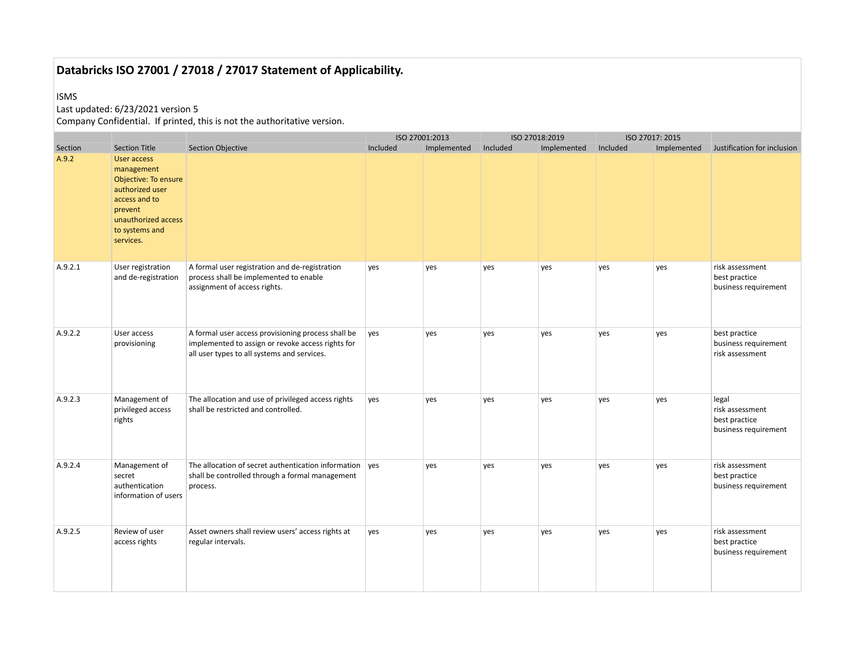#### ISMS

## Last updated: 6/23/2021 version 5

|                  |                                                                                                                                                                                |                                                                                                                                                        | ISO 27001:2013 |             |          | ISO 27018:2019 |          | ISO 27017: 2015 |                                                                   |
|------------------|--------------------------------------------------------------------------------------------------------------------------------------------------------------------------------|--------------------------------------------------------------------------------------------------------------------------------------------------------|----------------|-------------|----------|----------------|----------|-----------------|-------------------------------------------------------------------|
| Section<br>A.9.2 | <b>Section Title</b><br>User access<br>management<br>Objective: To ensure<br>authorized user<br>access and to<br>prevent<br>unauthorized access<br>to systems and<br>services. | <b>Section Objective</b>                                                                                                                               | Included       | Implemented | Included | Implemented    | Included | Implemented     | Justification for inclusion                                       |
| A.9.2.1          | User registration<br>and de-registration                                                                                                                                       | A formal user registration and de-registration<br>process shall be implemented to enable<br>assignment of access rights.                               | yes            | yes         | yes      | yes            | yes      | yes             | risk assessment<br>best practice<br>business requirement          |
| A.9.2.2          | User access<br>provisioning                                                                                                                                                    | A formal user access provisioning process shall be<br>implemented to assign or revoke access rights for<br>all user types to all systems and services. | yes            | yes         | yes      | yes            | yes      | yes             | best practice<br>business requirement<br>risk assessment          |
| A.9.2.3          | Management of<br>privileged access<br>rights                                                                                                                                   | The allocation and use of privileged access rights<br>shall be restricted and controlled.                                                              | yes            | yes         | yes      | yes            | yes      | yes             | legal<br>risk assessment<br>best practice<br>business requirement |
| A.9.2.4          | Management of<br>secret<br>authentication<br>information of users                                                                                                              | The allocation of secret authentication information ves<br>shall be controlled through a formal management<br>process.                                 |                | ves         | yes      | yes            | yes      | yes             | risk assessment<br>best practice<br>business requirement          |
| A.9.2.5          | Review of user<br>access rights                                                                                                                                                | Asset owners shall review users' access rights at<br>regular intervals.                                                                                | yes            | yes         | yes      | yes            | yes      | yes             | risk assessment<br>best practice<br>business requirement          |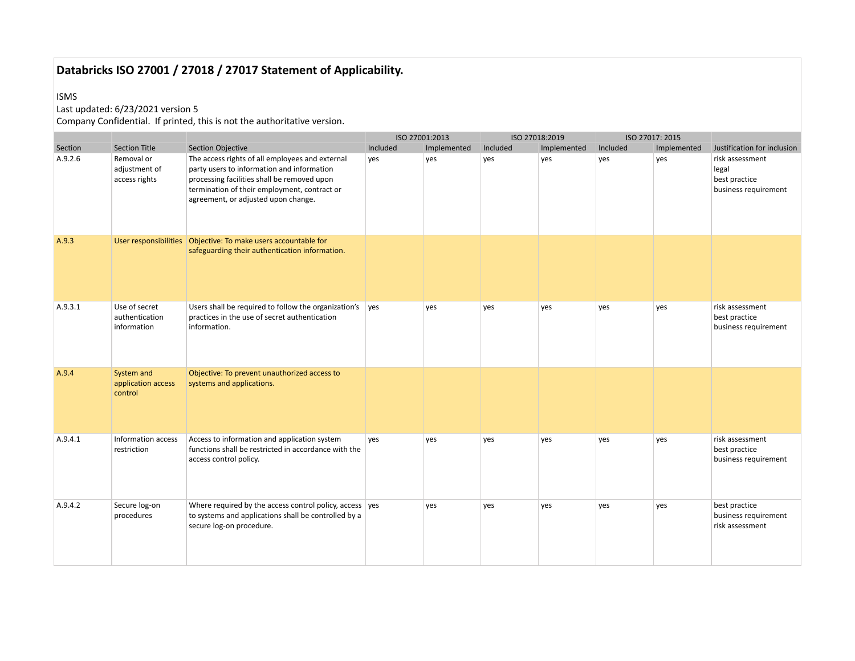#### ISMS

## Last updated: 6/23/2021 version 5

|         |                                                |                                                                                                                                                                                                                                     |          | ISO 27001:2013 |          | ISO 27018:2019 |          | ISO 27017: 2015 |                                                                   |
|---------|------------------------------------------------|-------------------------------------------------------------------------------------------------------------------------------------------------------------------------------------------------------------------------------------|----------|----------------|----------|----------------|----------|-----------------|-------------------------------------------------------------------|
| Section | <b>Section Title</b>                           | <b>Section Objective</b>                                                                                                                                                                                                            | Included | Implemented    | Included | Implemented    | Included | Implemented     | Justification for inclusion                                       |
| A.9.2.6 | Removal or<br>adjustment of<br>access rights   | The access rights of all employees and external<br>party users to information and information<br>processing facilities shall be removed upon<br>termination of their employment, contract or<br>agreement, or adjusted upon change. | yes      | yes            | yes      | yes            | yes      | yes             | risk assessment<br>legal<br>best practice<br>business requirement |
| A.9.3   |                                                | safeguarding their authentication information.                                                                                                                                                                                      |          |                |          |                |          |                 |                                                                   |
| A.9.3.1 | Use of secret<br>authentication<br>information | Users shall be required to follow the organization's<br>practices in the use of secret authentication<br>information.                                                                                                               | yes      | yes            | yes      | ves            | yes      | yes             | risk assessment<br>best practice<br>business requirement          |
| A.9.4   | System and<br>application access<br>control    | Objective: To prevent unauthorized access to<br>systems and applications.                                                                                                                                                           |          |                |          |                |          |                 |                                                                   |
| A.9.4.1 | Information access<br>restriction              | Access to information and application system<br>functions shall be restricted in accordance with the<br>access control policy.                                                                                                      | yes      | yes            | yes      | yes            | yes      | yes             | risk assessment<br>best practice<br>business requirement          |
| A.9.4.2 | Secure log-on<br>procedures                    | Where required by the access control policy, access $\vert$ yes<br>to systems and applications shall be controlled by a<br>secure log-on procedure.                                                                                 |          | yes            | yes      | yes            | yes      | yes             | best practice<br>business requirement<br>risk assessment          |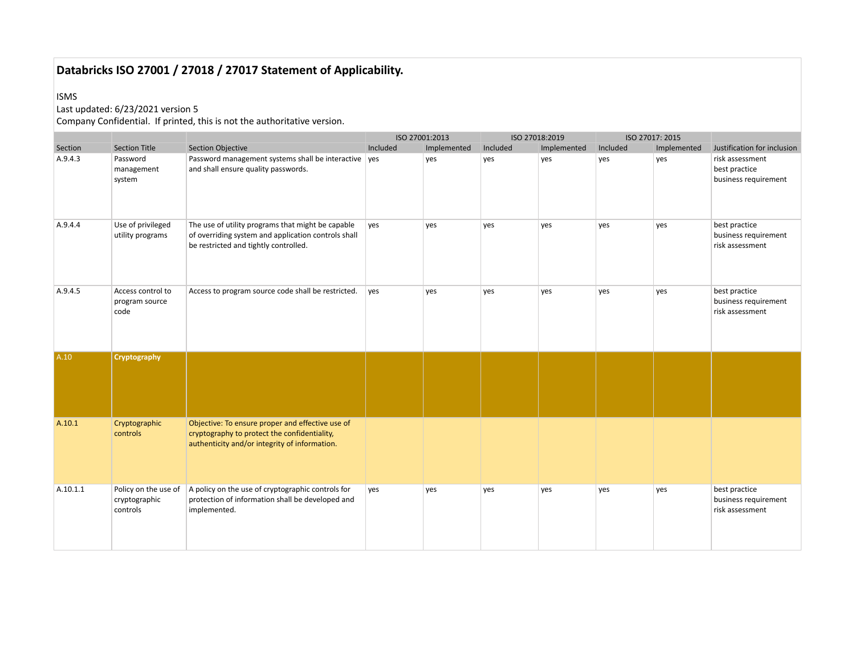#### ISMS

## Last updated: 6/23/2021 version 5

|          |                                                   |                                                                                                                                                   | ISO 27001:2013 |             |          | ISO 27018:2019 |          | ISO 27017: 2015 |                                                          |
|----------|---------------------------------------------------|---------------------------------------------------------------------------------------------------------------------------------------------------|----------------|-------------|----------|----------------|----------|-----------------|----------------------------------------------------------|
| Section  | <b>Section Title</b>                              | Section Objective                                                                                                                                 | Included       | Implemented | Included | Implemented    | Included | Implemented     | Justification for inclusion                              |
| A.9.4.3  | Password<br>management<br>system                  | Password management systems shall be interactive ves<br>and shall ensure quality passwords.                                                       |                | yes         | yes      | yes            | yes      | yes             | risk assessment<br>best practice<br>business requirement |
| A.9.4.4  | Use of privileged<br>utility programs             | The use of utility programs that might be capable<br>of overriding system and application controls shall<br>be restricted and tightly controlled. | ves            | yes         | yes      | yes            | yes      | yes             | best practice<br>business requirement<br>risk assessment |
| A.9.4.5  | Access control to<br>program source<br>code       | Access to program source code shall be restricted.                                                                                                | yes            | yes         | yes      | yes            | yes      | yes             | best practice<br>business requirement<br>risk assessment |
| A.10     | Cryptography                                      |                                                                                                                                                   |                |             |          |                |          |                 |                                                          |
| A.10.1   | Cryptographic<br>controls                         | Objective: To ensure proper and effective use of<br>cryptography to protect the confidentiality,<br>authenticity and/or integrity of information. |                |             |          |                |          |                 |                                                          |
| A.10.1.1 | Policy on the use of<br>cryptographic<br>controls | A policy on the use of cryptographic controls for<br>protection of information shall be developed and<br>implemented.                             | yes            | yes         | yes      | yes            | yes      | yes             | best practice<br>business requirement<br>risk assessment |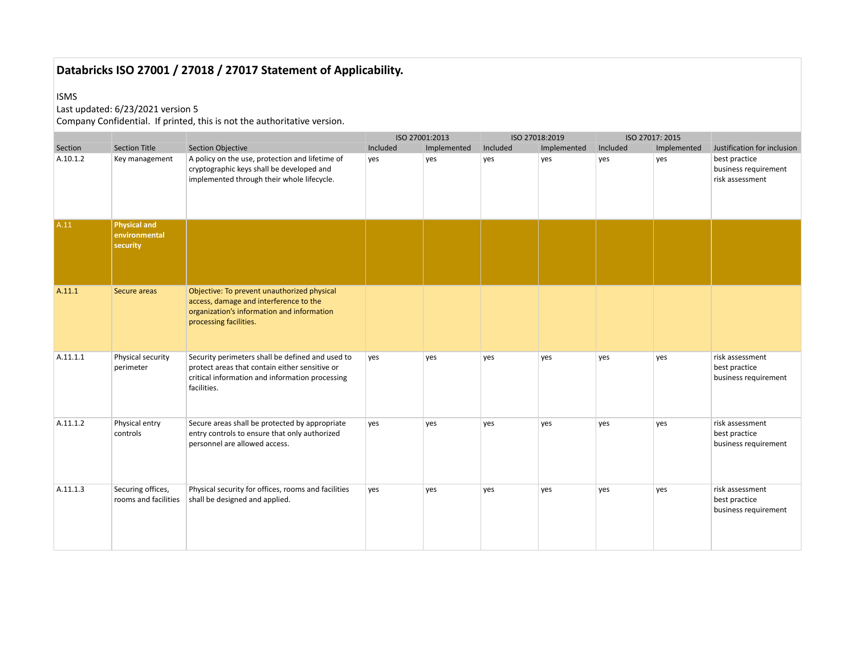#### ISMS

## Last updated: 6/23/2021 version 5

|          |                                                  |                                                                                                                                                                      | ISO 27001:2013 |             | ISO 27018:2019 |             | ISO 27017: 2015 |             |                                                          |
|----------|--------------------------------------------------|----------------------------------------------------------------------------------------------------------------------------------------------------------------------|----------------|-------------|----------------|-------------|-----------------|-------------|----------------------------------------------------------|
| Section  | <b>Section Title</b>                             | <b>Section Objective</b>                                                                                                                                             | Included       | Implemented | Included       | Implemented | Included        | Implemented | Justification for inclusion                              |
| A.10.1.2 | Key management                                   | A policy on the use, protection and lifetime of<br>cryptographic keys shall be developed and<br>implemented through their whole lifecycle.                           | yes            | yes         | yes            | yes         | yes             | yes         | best practice<br>business requirement<br>risk assessment |
| A.11     | <b>Physical and</b><br>environmental<br>security |                                                                                                                                                                      |                |             |                |             |                 |             |                                                          |
| A.11.1   | Secure areas                                     | Objective: To prevent unauthorized physical<br>access, damage and interference to the<br>organization's information and information<br>processing facilities.        |                |             |                |             |                 |             |                                                          |
| A.11.1.1 | Physical security<br>perimeter                   | Security perimeters shall be defined and used to<br>protect areas that contain either sensitive or<br>critical information and information processing<br>facilities. | yes            | yes         | yes            | yes         | yes             | yes         | risk assessment<br>best practice<br>business requirement |
| A.11.1.2 | Physical entry<br>controls                       | Secure areas shall be protected by appropriate<br>entry controls to ensure that only authorized<br>personnel are allowed access.                                     | yes            | yes         | yes            | yes         | yes             | yes         | risk assessment<br>best practice<br>business requirement |
| A.11.1.3 | Securing offices,<br>rooms and facilities        | Physical security for offices, rooms and facilities<br>shall be designed and applied.                                                                                | yes            | yes         | yes            | yes         | yes             | yes         | risk assessment<br>best practice<br>business requirement |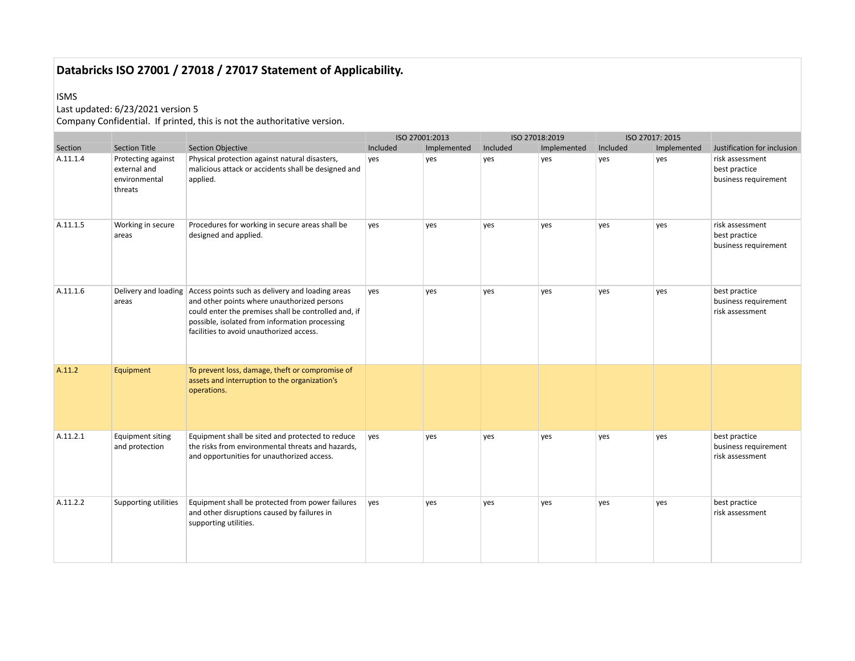#### ISMS

## Last updated: 6/23/2021 version 5

|          |                                                                |                                                                                                                                                                                                                                                                            | ISO 27001:2013 |             |          | ISO 27018:2019 |          | ISO 27017: 2015 |                                                          |
|----------|----------------------------------------------------------------|----------------------------------------------------------------------------------------------------------------------------------------------------------------------------------------------------------------------------------------------------------------------------|----------------|-------------|----------|----------------|----------|-----------------|----------------------------------------------------------|
| Section  | <b>Section Title</b>                                           | <b>Section Objective</b>                                                                                                                                                                                                                                                   | Included       | Implemented | Included | Implemented    | Included | Implemented     | Justification for inclusion                              |
| A.11.1.4 | Protecting against<br>external and<br>environmental<br>threats | Physical protection against natural disasters,<br>malicious attack or accidents shall be designed and<br>applied.                                                                                                                                                          | yes            | yes         | yes      | yes            | yes      | yes             | risk assessment<br>best practice<br>business requirement |
| A.11.1.5 | Working in secure<br>areas                                     | Procedures for working in secure areas shall be<br>designed and applied.                                                                                                                                                                                                   | yes            | ves         | yes      | yes            | yes      | yes             | risk assessment<br>best practice<br>business requirement |
| A.11.1.6 | areas                                                          | Delivery and loading Access points such as delivery and loading areas<br>and other points where unauthorized persons<br>could enter the premises shall be controlled and, if<br>possible, isolated from information processing<br>facilities to avoid unauthorized access. | yes            | yes         | yes      | yes            | yes      | yes             | best practice<br>business requirement<br>risk assessment |
| A.11.2   | Equipment                                                      | To prevent loss, damage, theft or compromise of<br>assets and interruption to the organization's<br>operations.                                                                                                                                                            |                |             |          |                |          |                 |                                                          |
| A.11.2.1 | <b>Equipment siting</b><br>and protection                      | Equipment shall be sited and protected to reduce<br>the risks from environmental threats and hazards,<br>and opportunities for unauthorized access.                                                                                                                        | yes            | yes         | yes      | yes            | yes      | yes             | best practice<br>business requirement<br>risk assessment |
| A.11.2.2 | Supporting utilities                                           | Equipment shall be protected from power failures<br>and other disruptions caused by failures in<br>supporting utilities.                                                                                                                                                   | ves            | ves         | yes      | yes            | yes      | yes             | best practice<br>risk assessment                         |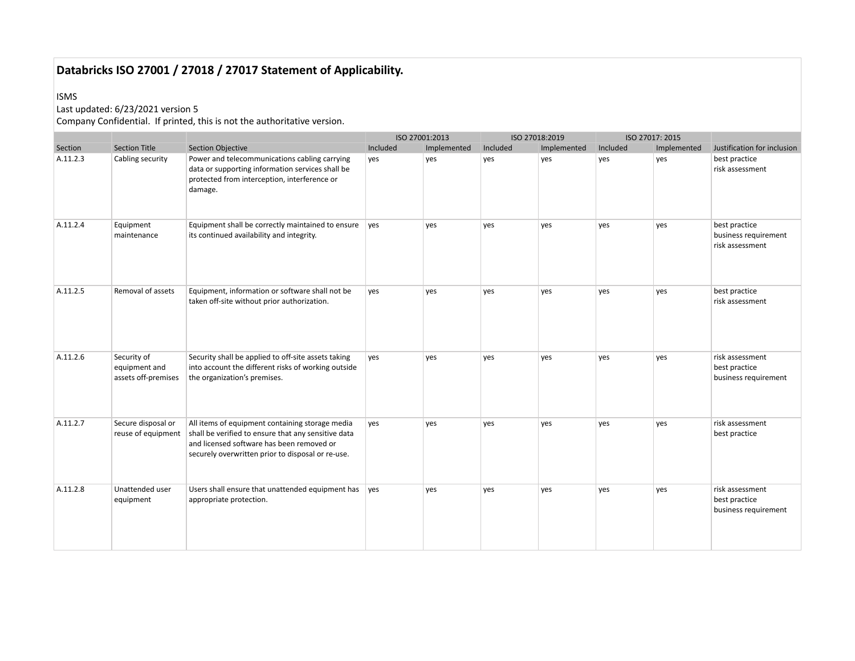#### ISMS

## Last updated: 6/23/2021 version 5

|          |                                                     |                                                                                                                                                                                                          | ISO 27001:2013 |             |          | ISO 27018:2019 |          | ISO 27017: 2015 |                                                          |
|----------|-----------------------------------------------------|----------------------------------------------------------------------------------------------------------------------------------------------------------------------------------------------------------|----------------|-------------|----------|----------------|----------|-----------------|----------------------------------------------------------|
| Section  | <b>Section Title</b>                                | <b>Section Objective</b>                                                                                                                                                                                 | Included       | Implemented | Included | Implemented    | Included | Implemented     | Justification for inclusion                              |
| A.11.2.3 | Cabling security                                    | Power and telecommunications cabling carrying<br>data or supporting information services shall be<br>protected from interception, interference or<br>damage.                                             | yes            | yes         | yes      | yes            | yes      | yes             | best practice<br>risk assessment                         |
| A.11.2.4 | Equipment<br>maintenance                            | Equipment shall be correctly maintained to ensure<br>its continued availability and integrity.                                                                                                           | ves            | yes         | yes      | yes            | yes      | yes             | best practice<br>business requirement<br>risk assessment |
| A.11.2.5 | Removal of assets                                   | Equipment, information or software shall not be<br>taken off-site without prior authorization.                                                                                                           | yes            | yes         | yes      | yes            | yes      | yes             | best practice<br>risk assessment                         |
| A.11.2.6 | Security of<br>equipment and<br>assets off-premises | Security shall be applied to off-site assets taking<br>into account the different risks of working outside<br>the organization's premises.                                                               | yes            | yes         | yes      | yes            | yes      | yes             | risk assessment<br>best practice<br>business requirement |
| A.11.2.7 | Secure disposal or<br>reuse of equipment            | All items of equipment containing storage media<br>shall be verified to ensure that any sensitive data<br>and licensed software has been removed or<br>securely overwritten prior to disposal or re-use. | yes            | yes         | yes      | yes            | yes      | yes             | risk assessment<br>best practice                         |
| A.11.2.8 | Unattended user<br>equipment                        | Users shall ensure that unattended equipment has<br>appropriate protection.                                                                                                                              | ves            | yes         | yes      | ves            | yes      | ves             | risk assessment<br>best practice<br>business requirement |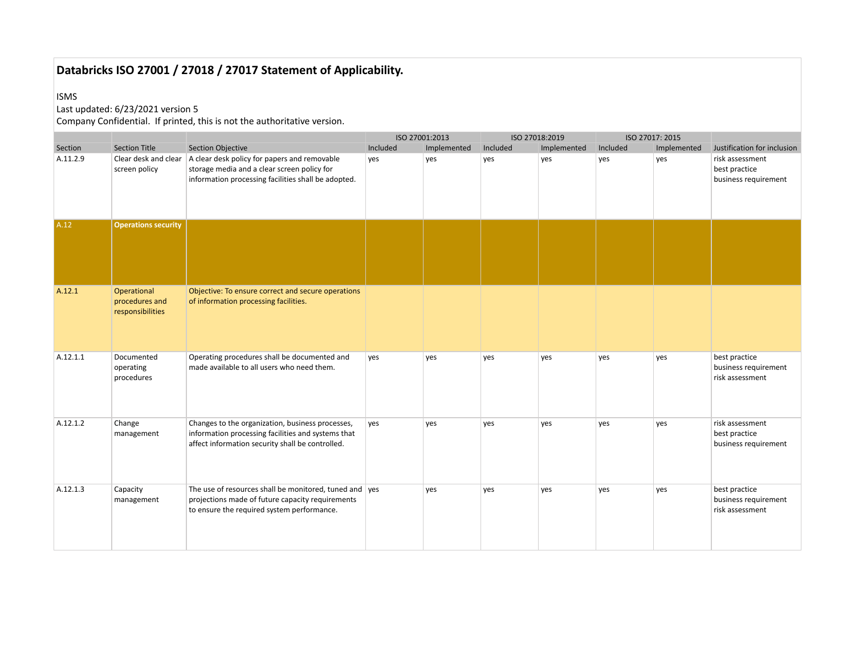#### ISMS

## Last updated: 6/23/2021 version 5

|          |                                                   |                                                                                                                                                            | ISO 27001:2013 |             |          | ISO 27018:2019 |          | ISO 27017: 2015 |                                                          |
|----------|---------------------------------------------------|------------------------------------------------------------------------------------------------------------------------------------------------------------|----------------|-------------|----------|----------------|----------|-----------------|----------------------------------------------------------|
| Section  | <b>Section Title</b>                              | Section Objective                                                                                                                                          | Included       | Implemented | Included | Implemented    | Included | Implemented     | Justification for inclusion                              |
| A.11.2.9 | Clear desk and clear<br>screen policy             | A clear desk policy for papers and removable<br>storage media and a clear screen policy for<br>information processing facilities shall be adopted.         | yes            | yes         | yes      | yes            | yes      | yes             | risk assessment<br>best practice<br>business requirement |
| A.12     | <b>Operations security</b>                        |                                                                                                                                                            |                |             |          |                |          |                 |                                                          |
| A.12.1   | Operational<br>procedures and<br>responsibilities | Objective: To ensure correct and secure operations<br>of information processing facilities.                                                                |                |             |          |                |          |                 |                                                          |
| A.12.1.1 | Documented<br>operating<br>procedures             | Operating procedures shall be documented and<br>made available to all users who need them.                                                                 | yes            | yes         | yes      | yes            | yes      | yes             | best practice<br>business requirement<br>risk assessment |
| A.12.1.2 | Change<br>management                              | Changes to the organization, business processes,<br>information processing facilities and systems that<br>affect information security shall be controlled. | yes            | yes         | yes      | yes            | yes      | yes             | risk assessment<br>best practice<br>business requirement |
| A.12.1.3 | Capacity<br>management                            | The use of resources shall be monitored, tuned and ves<br>projections made of future capacity requirements<br>to ensure the required system performance.   |                | yes         | yes      | yes            | yes      | yes             | best practice<br>business requirement<br>risk assessment |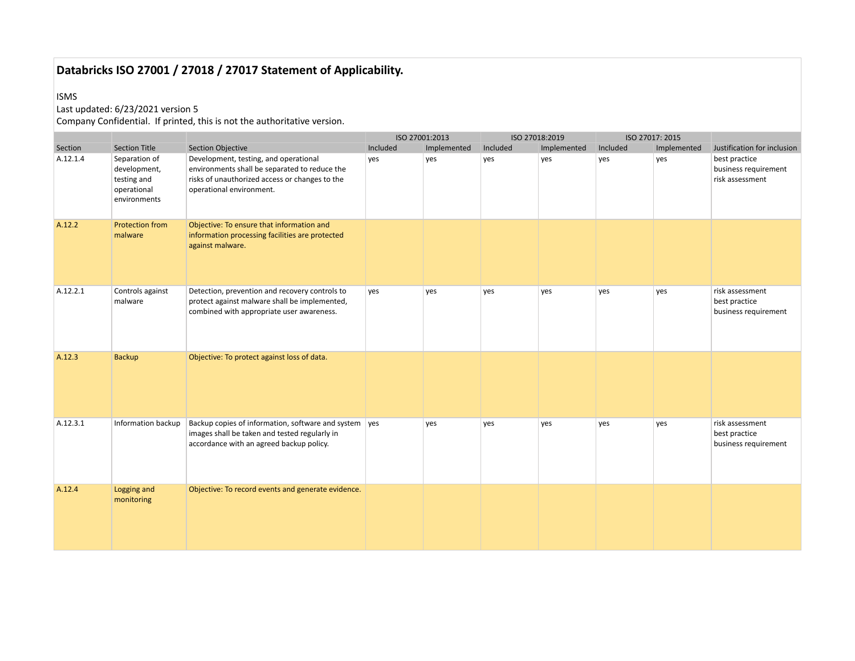#### ISMS

## Last updated: 6/23/2021 version 5

|          |                                                                             |                                                                                                                                                                      |          | ISO 27001:2013 |          | ISO 27018:2019 |          | ISO 27017: 2015 |                                                          |
|----------|-----------------------------------------------------------------------------|----------------------------------------------------------------------------------------------------------------------------------------------------------------------|----------|----------------|----------|----------------|----------|-----------------|----------------------------------------------------------|
| Section  | <b>Section Title</b>                                                        | <b>Section Objective</b>                                                                                                                                             | Included | Implemented    | Included | Implemented    | Included | Implemented     | Justification for inclusion                              |
| A.12.1.4 | Separation of<br>development,<br>testing and<br>operational<br>environments | Development, testing, and operational<br>environments shall be separated to reduce the<br>risks of unauthorized access or changes to the<br>operational environment. | yes      | yes            | yes      | yes            | yes      | yes             | best practice<br>business requirement<br>risk assessment |
| A.12.2   | <b>Protection from</b><br>malware                                           | Objective: To ensure that information and<br>information processing facilities are protected<br>against malware.                                                     |          |                |          |                |          |                 |                                                          |
| A.12.2.1 | Controls against<br>malware                                                 | Detection, prevention and recovery controls to<br>protect against malware shall be implemented,<br>combined with appropriate user awareness.                         | yes      | yes            | yes      | yes            | yes      | yes             | risk assessment<br>best practice<br>business requirement |
| A.12.3   | <b>Backup</b>                                                               | Objective: To protect against loss of data.                                                                                                                          |          |                |          |                |          |                 |                                                          |
| A.12.3.1 | Information backup                                                          | Backup copies of information, software and system ves<br>images shall be taken and tested regularly in<br>accordance with an agreed backup policy.                   |          | yes            | yes      | yes            | yes      | yes             | risk assessment<br>best practice<br>business requirement |
| A.12.4   | Logging and<br>monitoring                                                   | Objective: To record events and generate evidence.                                                                                                                   |          |                |          |                |          |                 |                                                          |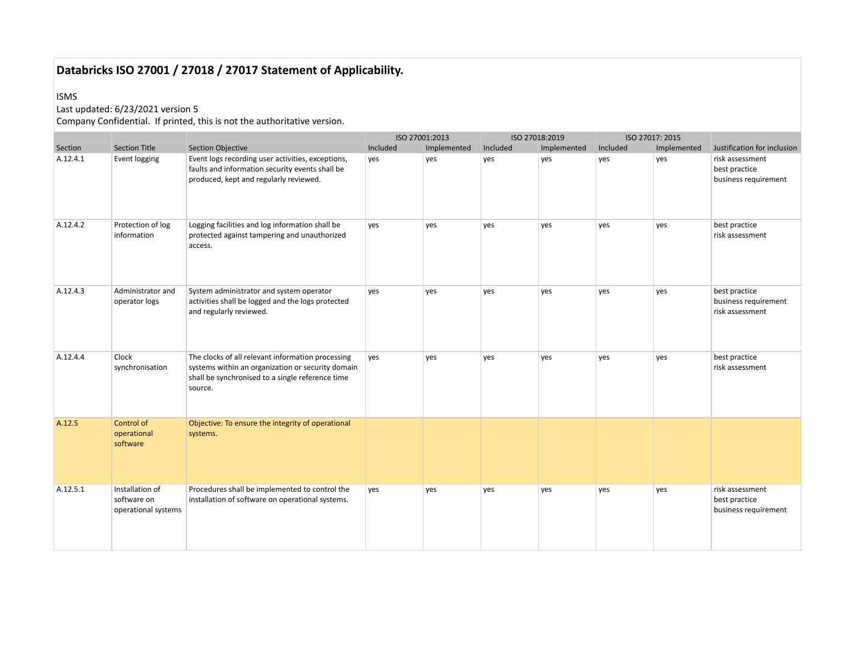#### ISMS

## Last updated: 6/23/2021 version 5

|          |                                                       |                                                                                                                                                                       |          | ISO 27001:2013 |          | ISO 27018:2019 |          | ISO 27017: 2015 |                                                          |
|----------|-------------------------------------------------------|-----------------------------------------------------------------------------------------------------------------------------------------------------------------------|----------|----------------|----------|----------------|----------|-----------------|----------------------------------------------------------|
| Section  | <b>Section Title</b>                                  | <b>Section Objective</b>                                                                                                                                              | Included | Implemented    | Included | Implemented    | Included | Implemented     | Justification for inclusion                              |
| A.12.4.1 | Event logging                                         | Event logs recording user activities, exceptions,<br>faults and information security events shall be<br>produced, kept and regularly reviewed.                        | yes      | yes            | yes      | yes            | ves      | yes             | risk assessment<br>best practice<br>business requirement |
| A.12.4.2 | Protection of log<br>information                      | Logging facilities and log information shall be<br>protected against tampering and unauthorized<br>access.                                                            | yes      | yes            | yes      | yes            | yes      | yes             | best practice<br>risk assessment                         |
| A.12.4.3 | Administrator and<br>operator logs                    | System administrator and system operator<br>activities shall be logged and the logs protected<br>and regularly reviewed.                                              | yes      | yes            | yes      | yes            | yes      | yes             | best practice<br>business requirement<br>risk assessment |
| A.12.4.4 | Clock<br>synchronisation                              | The clocks of all relevant information processing<br>systems within an organization or security domain<br>shall be synchronised to a single reference time<br>source. | ves      | ves            | yes      | ves            | yes      | ves             | best practice<br>risk assessment                         |
| A.12.5   | Control of<br>operational<br>software                 | Objective: To ensure the integrity of operational<br>systems.                                                                                                         |          |                |          |                |          |                 |                                                          |
| A.12.5.1 | Installation of<br>software on<br>operational systems | Procedures shall be implemented to control the<br>installation of software on operational systems.                                                                    | yes      | yes            | yes      | yes            | yes      | yes             | risk assessment<br>best practice<br>business requirement |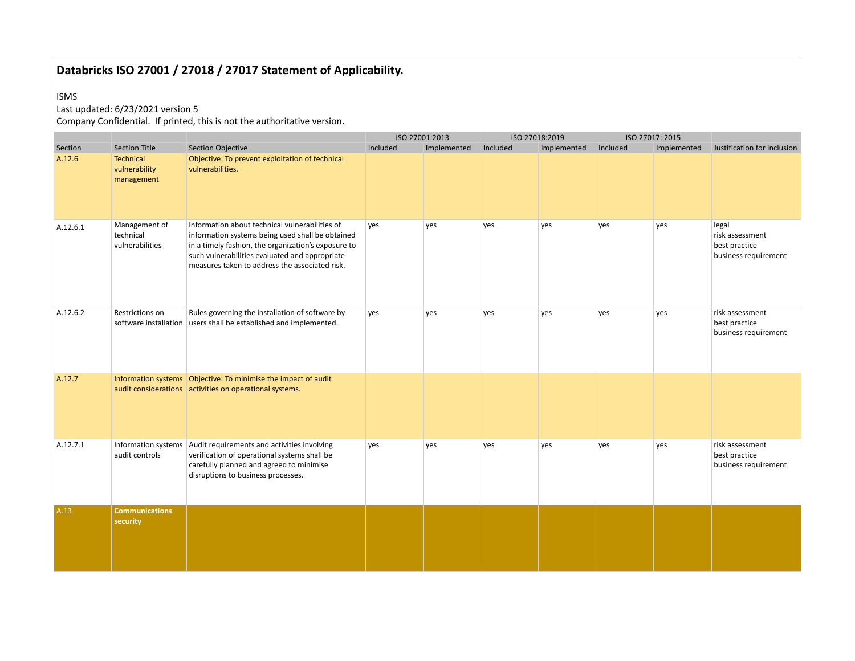#### ISMS

#### Last updated: 6/23/2021 version 5

|          |                                               |                                                                                                                                                                                                                                                               |          | ISO 27001:2013 |          | ISO 27018:2019 |          | ISO 27017: 2015 |                                                                   |
|----------|-----------------------------------------------|---------------------------------------------------------------------------------------------------------------------------------------------------------------------------------------------------------------------------------------------------------------|----------|----------------|----------|----------------|----------|-----------------|-------------------------------------------------------------------|
| Section  | <b>Section Title</b>                          | Section Objective                                                                                                                                                                                                                                             | Included | Implemented    | Included | Implemented    | Included | Implemented     | Justification for inclusion                                       |
| A.12.6   | Technical<br>vulnerability<br>management      | Objective: To prevent exploitation of technical<br>vulnerabilities.                                                                                                                                                                                           |          |                |          |                |          |                 |                                                                   |
| A.12.6.1 | Management of<br>technical<br>vulnerabilities | Information about technical vulnerabilities of<br>information systems being used shall be obtained<br>in a timely fashion, the organization's exposure to<br>such vulnerabilities evaluated and appropriate<br>measures taken to address the associated risk. | yes      | yes            | yes      | yes            | yes      | yes             | legal<br>risk assessment<br>best practice<br>business requirement |
| A.12.6.2 | Restrictions on                               | Rules governing the installation of software by<br>software installation   users shall be established and implemented.                                                                                                                                        | yes      | yes            | yes      | ves            | yes      | yes             | risk assessment<br>best practice<br>business requirement          |
| A.12.7   |                                               | Information systems   Objective: To minimise the impact of audit<br>audit considerations activities on operational systems.                                                                                                                                   |          |                |          |                |          |                 |                                                                   |
| A.12.7.1 | audit controls                                | Information systems   Audit requirements and activities involving<br>verification of operational systems shall be<br>carefully planned and agreed to minimise<br>disruptions to business processes.                                                           | yes      | yes            | yes      | yes            | yes      | yes             | risk assessment<br>best practice<br>business requirement          |
| A.13     | <b>Communications</b><br>security             |                                                                                                                                                                                                                                                               |          |                |          |                |          |                 |                                                                   |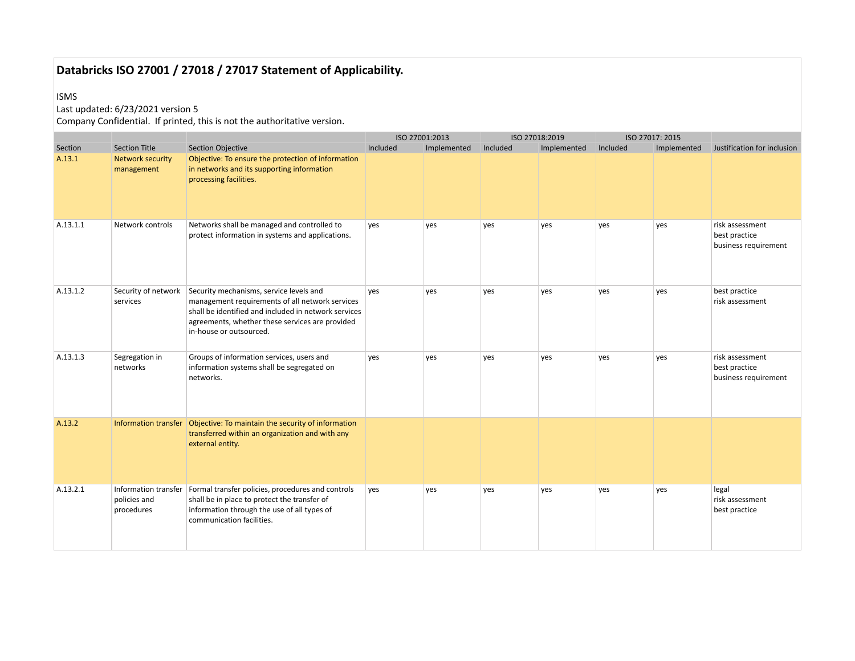#### ISMS

## Last updated: 6/23/2021 version 5

|          |                                 |                                                                                                                                                                                                                                  | ISO 27001:2013 |             |          | ISO 27018:2019 |          | ISO 27017: 2015 |                                                          |
|----------|---------------------------------|----------------------------------------------------------------------------------------------------------------------------------------------------------------------------------------------------------------------------------|----------------|-------------|----------|----------------|----------|-----------------|----------------------------------------------------------|
| Section  | <b>Section Title</b>            | <b>Section Objective</b>                                                                                                                                                                                                         | Included       | Implemented | Included | Implemented    | Included | Implemented     | Justification for inclusion                              |
| A.13.1   | Network security<br>management  | Objective: To ensure the protection of information<br>in networks and its supporting information<br>processing facilities.                                                                                                       |                |             |          |                |          |                 |                                                          |
| A.13.1.1 | Network controls                | Networks shall be managed and controlled to<br>protect information in systems and applications.                                                                                                                                  | yes            | yes         | yes      | yes            | yes      | yes             | risk assessment<br>best practice<br>business requirement |
| A.13.1.2 | Security of network<br>services | Security mechanisms, service levels and<br>management requirements of all network services<br>shall be identified and included in network services<br>agreements, whether these services are provided<br>in-house or outsourced. | yes            | yes         | yes      | yes            | yes      | yes             | best practice<br>risk assessment                         |
| A.13.1.3 | Segregation in<br>networks      | Groups of information services, users and<br>information systems shall be segregated on<br>networks.                                                                                                                             | yes            | yes         | yes      | yes            | yes      | yes             | risk assessment<br>best practice<br>business requirement |
| A.13.2   |                                 | Information transfer   Objective: To maintain the security of information<br>transferred within an organization and with any<br>external entity.                                                                                 |                |             |          |                |          |                 |                                                          |
| A.13.2.1 | policies and<br>procedures      | Information transfer   Formal transfer policies, procedures and controls<br>shall be in place to protect the transfer of<br>information through the use of all types of<br>communication facilities.                             | yes            | yes         | yes      | yes            | yes      | yes             | legal<br>risk assessment<br>best practice                |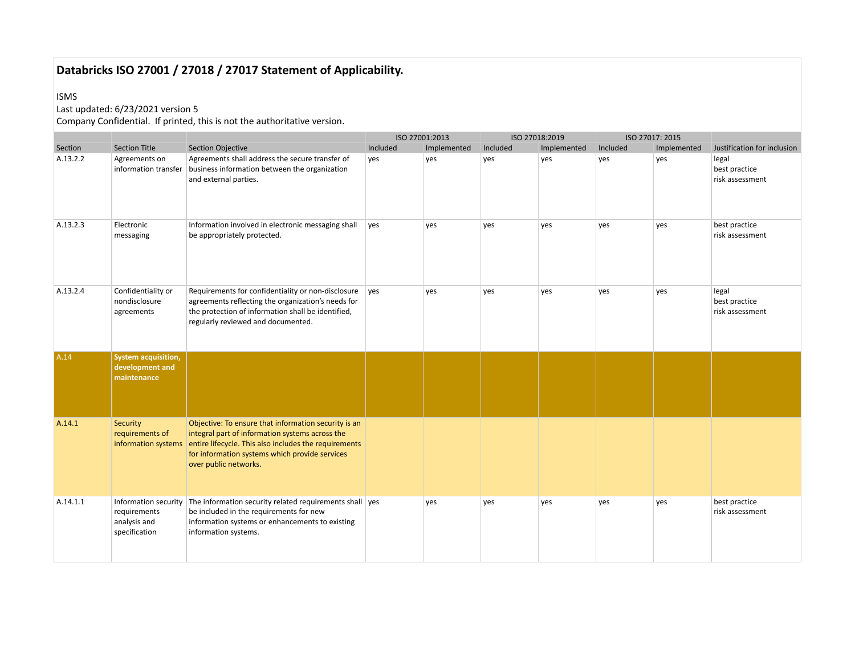#### ISMS

## Last updated: 6/23/2021 version 5

|          |                                                                       |                                                                                                                                                                                                                                             | ISO 27001:2013 |             |          | ISO 27018:2019 |          | ISO 27017: 2015 |                                           |
|----------|-----------------------------------------------------------------------|---------------------------------------------------------------------------------------------------------------------------------------------------------------------------------------------------------------------------------------------|----------------|-------------|----------|----------------|----------|-----------------|-------------------------------------------|
| Section  | <b>Section Title</b>                                                  | <b>Section Objective</b>                                                                                                                                                                                                                    | Included       | Implemented | Included | Implemented    | Included | Implemented     | Justification for inclusion               |
| A.13.2.2 | Agreements on<br>information transfer                                 | Agreements shall address the secure transfer of<br>business information between the organization<br>and external parties.                                                                                                                   | yes            | yes         | yes      | yes            | yes      | yes             | legal<br>best practice<br>risk assessment |
| A.13.2.3 | Electronic<br>messaging                                               | Information involved in electronic messaging shall<br>be appropriately protected.                                                                                                                                                           | yes            | yes         | yes      | yes            | yes      | yes             | best practice<br>risk assessment          |
| A.13.2.4 | Confidentiality or<br>nondisclosure<br>agreements                     | Requirements for confidentiality or non-disclosure<br>agreements reflecting the organization's needs for<br>the protection of information shall be identified,<br>regularly reviewed and documented.                                        | yes            | yes         | yes      | yes            | yes      | yes             | legal<br>best practice<br>risk assessment |
| A.14     | <b>System acquisition,</b><br>development and<br>maintenance          |                                                                                                                                                                                                                                             |                |             |          |                |          |                 |                                           |
| A.14.1   | Security<br>requirements of<br>information systems                    | Objective: To ensure that information security is an<br>integral part of information systems across the<br>entire lifecycle. This also includes the requirements<br>for information systems which provide services<br>over public networks. |                |             |          |                |          |                 |                                           |
| A.14.1.1 | Information security<br>requirements<br>analysis and<br>specification | The information security related requirements shall ves<br>be included in the requirements for new<br>information systems or enhancements to existing<br>information systems.                                                               |                | yes         | yes      | yes            | yes      | yes             | best practice<br>risk assessment          |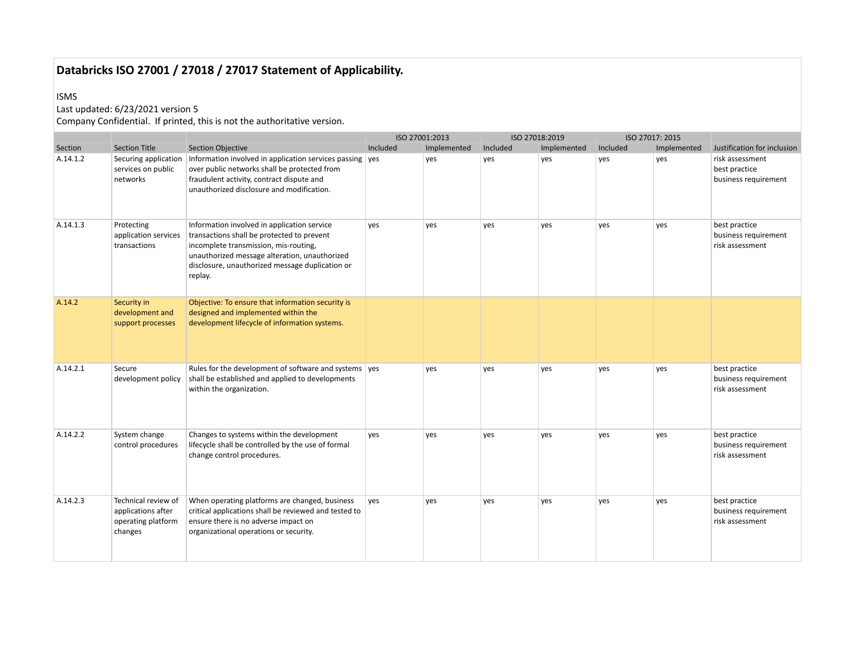#### ISMS

## Last updated: 6/23/2021 version 5

|          |                                                                            |                                                                                                                                                                                                                                                   |          | ISO 27001:2013 |          | ISO 27018:2019 |          | ISO 27017: 2015 |                                                          |
|----------|----------------------------------------------------------------------------|---------------------------------------------------------------------------------------------------------------------------------------------------------------------------------------------------------------------------------------------------|----------|----------------|----------|----------------|----------|-----------------|----------------------------------------------------------|
| Section  | <b>Section Title</b>                                                       | <b>Section Objective</b>                                                                                                                                                                                                                          | Included | Implemented    | Included | Implemented    | Included | Implemented     | Justification for inclusion                              |
| A.14.1.2 | Securing application<br>services on public<br>networks                     | Information involved in application services passing ves<br>over public networks shall be protected from<br>fraudulent activity, contract dispute and<br>unauthorized disclosure and modification.                                                |          | yes            | yes      | yes            | yes      | yes             | risk assessment<br>best practice<br>business requirement |
| A.14.1.3 | Protecting<br>application services<br>transactions                         | Information involved in application service<br>transactions shall be protected to prevent<br>incomplete transmission, mis-routing,<br>unauthorized message alteration, unauthorized<br>disclosure, unauthorized message duplication or<br>replay. | yes      | ves            | ves      | ves            | ves      | ves             | best practice<br>business requirement<br>risk assessment |
| A.14.2   | Security in<br>development and<br>support processes                        | Objective: To ensure that information security is<br>designed and implemented within the<br>development lifecycle of information systems.                                                                                                         |          |                |          |                |          |                 |                                                          |
| A.14.2.1 | Secure<br>development policy                                               | Rules for the development of software and systems ves<br>shall be established and applied to developments<br>within the organization.                                                                                                             |          | ves            | ves      | ves            | ves      | ves             | best practice<br>business requirement<br>risk assessment |
| A.14.2.2 | System change<br>control procedures                                        | Changes to systems within the development<br>lifecycle shall be controlled by the use of formal<br>change control procedures.                                                                                                                     | yes      | yes            | yes      | ves            | yes      | yes             | best practice<br>business requirement<br>risk assessment |
| A.14.2.3 | Technical review of<br>applications after<br>operating platform<br>changes | When operating platforms are changed, business<br>critical applications shall be reviewed and tested to<br>ensure there is no adverse impact on<br>organizational operations or security.                                                         | yes      | yes            | yes      | yes            | yes      | yes             | best practice<br>business requirement<br>risk assessment |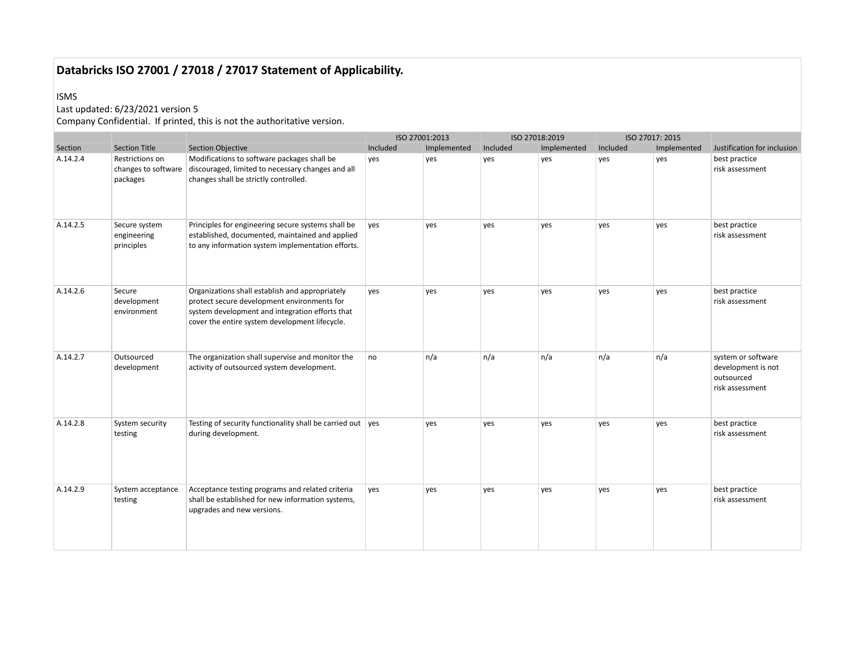#### ISMS

## Last updated: 6/23/2021 version 5

|          |                                                    |                                                                                                                                                                                                     | ISO 27001:2013 |             |          | ISO 27018:2019 |          | ISO 27017: 2015 |                                                                           |
|----------|----------------------------------------------------|-----------------------------------------------------------------------------------------------------------------------------------------------------------------------------------------------------|----------------|-------------|----------|----------------|----------|-----------------|---------------------------------------------------------------------------|
| Section  | <b>Section Title</b>                               | <b>Section Objective</b>                                                                                                                                                                            | Included       | Implemented | Included | Implemented    | Included | Implemented     | Justification for inclusion                                               |
| A.14.2.4 | Restrictions on<br>changes to software<br>packages | Modifications to software packages shall be<br>discouraged, limited to necessary changes and all<br>changes shall be strictly controlled.                                                           | yes            | yes         | yes      | yes            | yes      | yes             | best practice<br>risk assessment                                          |
| A.14.2.5 | Secure system<br>engineering<br>principles         | Principles for engineering secure systems shall be<br>established, documented, maintained and applied<br>to any information system implementation efforts.                                          | ves            | yes         | yes      | yes            | yes      | ves             | best practice<br>risk assessment                                          |
| A.14.2.6 | Secure<br>development<br>environment               | Organizations shall establish and appropriately<br>protect secure development environments for<br>system development and integration efforts that<br>cover the entire system development lifecycle. | yes            | yes         | yes      | yes            | yes      | yes             | best practice<br>risk assessment                                          |
| A.14.2.7 | Outsourced<br>development                          | The organization shall supervise and monitor the<br>activity of outsourced system development.                                                                                                      | no             | n/a         | n/a      | n/a            | n/a      | n/a             | system or software<br>development is not<br>outsourced<br>risk assessment |
| A.14.2.8 | System security<br>testing                         | Testing of security functionality shall be carried out ves<br>during development.                                                                                                                   |                | yes         | yes      | yes            | yes      | yes             | best practice<br>risk assessment                                          |
| A.14.2.9 | System acceptance<br>testing                       | Acceptance testing programs and related criteria<br>shall be established for new information systems,<br>upgrades and new versions.                                                                 | yes            | yes         | yes      | yes            | yes      | yes             | best practice<br>risk assessment                                          |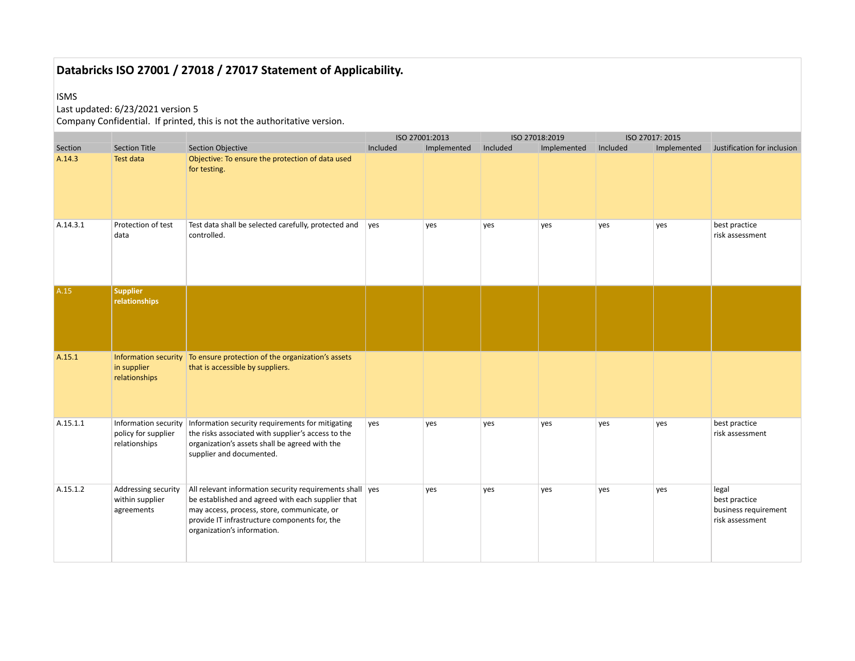#### ISMS

## Last updated: 6/23/2021 version 5

|          |                                                              |                                                                                                                                                                                                                                              |          | ISO 27001:2013 |          | ISO 27018:2019 |          | ISO 27017: 2015 |                                                                   |
|----------|--------------------------------------------------------------|----------------------------------------------------------------------------------------------------------------------------------------------------------------------------------------------------------------------------------------------|----------|----------------|----------|----------------|----------|-----------------|-------------------------------------------------------------------|
| Section  | <b>Section Title</b>                                         | <b>Section Objective</b>                                                                                                                                                                                                                     | Included | Implemented    | Included | Implemented    | Included | Implemented     | Justification for inclusion                                       |
| A.14.3   | Test data                                                    | Objective: To ensure the protection of data used<br>for testing.                                                                                                                                                                             |          |                |          |                |          |                 |                                                                   |
| A.14.3.1 | Protection of test<br>data                                   | Test data shall be selected carefully, protected and<br>controlled.                                                                                                                                                                          | yes      | yes            | yes      | yes            | yes      | yes             | best practice<br>risk assessment                                  |
| A.15     | <b>Supplier</b><br>relationships                             |                                                                                                                                                                                                                                              |          |                |          |                |          |                 |                                                                   |
| A.15.1   | in supplier<br>relationships                                 | Information security   To ensure protection of the organization's assets<br>that is accessible by suppliers.                                                                                                                                 |          |                |          |                |          |                 |                                                                   |
| A.15.1.1 | Information security<br>policy for supplier<br>relationships | Information security requirements for mitigating<br>the risks associated with supplier's access to the<br>organization's assets shall be agreed with the<br>supplier and documented.                                                         | yes      | yes            | yes      | yes            | yes      | yes             | best practice<br>risk assessment                                  |
| A.15.1.2 | Addressing security<br>within supplier<br>agreements         | All relevant information security requirements shall ves<br>be established and agreed with each supplier that<br>may access, process, store, communicate, or<br>provide IT infrastructure components for, the<br>organization's information. |          | yes            | yes      | yes            | yes      | yes             | legal<br>best practice<br>business requirement<br>risk assessment |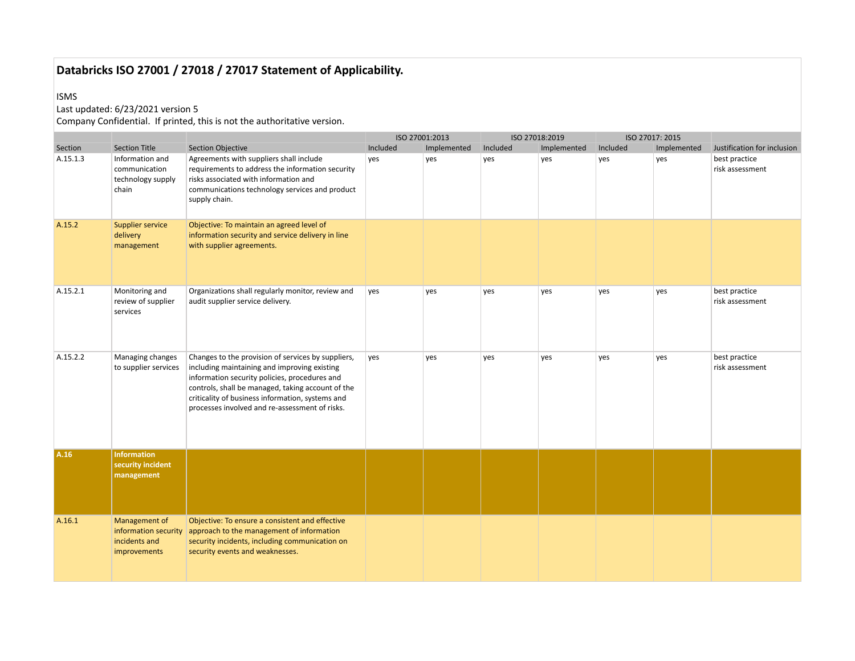#### ISMS

## Last updated: 6/23/2021 version 5

|          |                                                                        |                                                                                                                                                                                                                                                                                                                |          | ISO 27001:2013 |          | ISO 27018:2019 |          | ISO 27017: 2015 |                                  |
|----------|------------------------------------------------------------------------|----------------------------------------------------------------------------------------------------------------------------------------------------------------------------------------------------------------------------------------------------------------------------------------------------------------|----------|----------------|----------|----------------|----------|-----------------|----------------------------------|
| Section  | <b>Section Title</b>                                                   | <b>Section Objective</b>                                                                                                                                                                                                                                                                                       | Included | Implemented    | Included | Implemented    | Included | Implemented     | Justification for inclusion      |
| A.15.1.3 | Information and<br>communication<br>technology supply<br>chain         | Agreements with suppliers shall include<br>requirements to address the information security<br>risks associated with information and<br>communications technology services and product<br>supply chain.                                                                                                        | yes      | yes            | yes      | yes            | yes      | yes             | best practice<br>risk assessment |
| A.15.2   | <b>Supplier service</b><br>delivery<br>management                      | Objective: To maintain an agreed level of<br>information security and service delivery in line<br>with supplier agreements.                                                                                                                                                                                    |          |                |          |                |          |                 |                                  |
| A.15.2.1 | Monitoring and<br>review of supplier<br>services                       | Organizations shall regularly monitor, review and<br>audit supplier service delivery.                                                                                                                                                                                                                          | yes      | yes            | yes      | yes            | yes      | yes             | best practice<br>risk assessment |
| A.15.2.2 | Managing changes<br>to supplier services                               | Changes to the provision of services by suppliers,<br>including maintaining and improving existing<br>information security policies, procedures and<br>controls, shall be managed, taking account of the<br>criticality of business information, systems and<br>processes involved and re-assessment of risks. | yes      | yes            | yes      | yes            | yes      | yes             | best practice<br>risk assessment |
| A.16     | <b>Information</b><br>security incident<br>management                  |                                                                                                                                                                                                                                                                                                                |          |                |          |                |          |                 |                                  |
| A.16.1   | Management of<br>information security<br>incidents and<br>improvements | Objective: To ensure a consistent and effective<br>approach to the management of information<br>security incidents, including communication on<br>security events and weaknesses.                                                                                                                              |          |                |          |                |          |                 |                                  |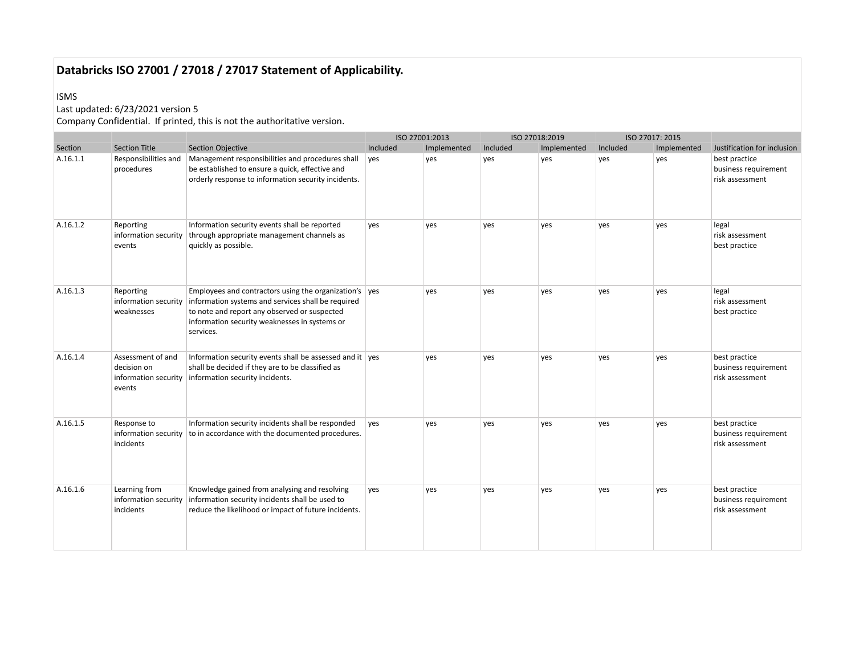#### ISMS

## Last updated: 6/23/2021 version 5

|          |                                                                    |                                                                                                                                                                                                                                    |          | ISO 27001:2013 |          | ISO 27018:2019 |          | ISO 27017: 2015 |                                                          |
|----------|--------------------------------------------------------------------|------------------------------------------------------------------------------------------------------------------------------------------------------------------------------------------------------------------------------------|----------|----------------|----------|----------------|----------|-----------------|----------------------------------------------------------|
| Section  | <b>Section Title</b>                                               | <b>Section Objective</b>                                                                                                                                                                                                           | Included | Implemented    | Included | Implemented    | Included | Implemented     | Justification for inclusion                              |
| A.16.1.1 | Responsibilities and<br>procedures                                 | Management responsibilities and procedures shall<br>be established to ensure a quick, effective and<br>orderly response to information security incidents.                                                                         | yes      | yes            | yes      | yes            | yes      | yes             | best practice<br>business requirement<br>risk assessment |
| A.16.1.2 | Reporting<br>information security<br>events                        | Information security events shall be reported<br>through appropriate management channels as<br>quickly as possible.                                                                                                                | yes      | yes            | yes      | yes            | yes      | yes             | legal<br>risk assessment<br>best practice                |
| A.16.1.3 | Reporting<br>information security<br>weaknesses                    | Employees and contractors using the organization's $\vert$ yes<br>information systems and services shall be required<br>to note and report any observed or suspected<br>information security weaknesses in systems or<br>services. |          | ves            | yes      | ves            | ves      | ves             | legal<br>risk assessment<br>best practice                |
| A.16.1.4 | Assessment of and<br>decision on<br>information security<br>events | Information security events shall be assessed and it ves<br>shall be decided if they are to be classified as<br>information security incidents.                                                                                    |          | yes            | yes      | yes            | yes      | yes             | best practice<br>business requirement<br>risk assessment |
| A.16.1.5 | Response to<br>information security<br>incidents                   | Information security incidents shall be responded<br>to in accordance with the documented procedures.                                                                                                                              | ves      | yes            | yes      | yes            | yes      | yes             | best practice<br>business requirement<br>risk assessment |
| A.16.1.6 | Learning from<br>information security<br>incidents                 | Knowledge gained from analysing and resolving<br>information security incidents shall be used to<br>reduce the likelihood or impact of future incidents.                                                                           | yes      | ves            | yes      | ves            | yes      | yes             | best practice<br>business requirement<br>risk assessment |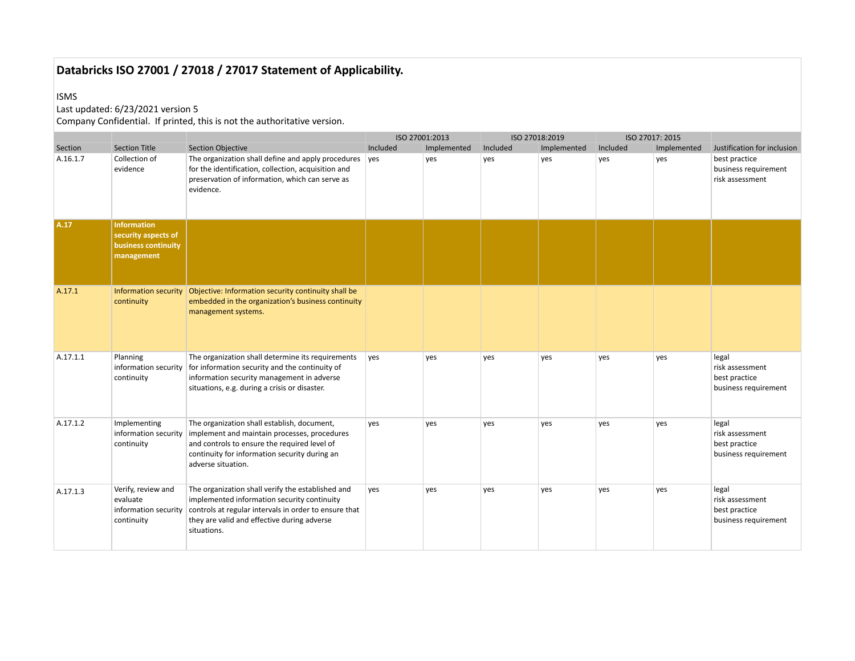#### ISMS

## Last updated: 6/23/2021 version 5

|          |                                                                                       |                                                                                                                                                                                                                         | ISO 27001:2013 |             |          | ISO 27018:2019 | ISO 27017: 2015 |             |                                                                   |
|----------|---------------------------------------------------------------------------------------|-------------------------------------------------------------------------------------------------------------------------------------------------------------------------------------------------------------------------|----------------|-------------|----------|----------------|-----------------|-------------|-------------------------------------------------------------------|
| Section  | <b>Section Title</b>                                                                  | <b>Section Objective</b>                                                                                                                                                                                                | Included       | Implemented | Included | Implemented    | Included        | Implemented | Justification for inclusion                                       |
| A.16.1.7 | Collection of<br>evidence                                                             | The organization shall define and apply procedures<br>for the identification, collection, acquisition and<br>preservation of information, which can serve as<br>evidence.                                               | yes            | yes         | yes      | yes            | ves             | yes         | best practice<br>business requirement<br>risk assessment          |
| A.17     | <b>Information</b><br>security aspects of<br><b>business continuity</b><br>management |                                                                                                                                                                                                                         |                |             |          |                |                 |             |                                                                   |
| A.17.1   | continuity                                                                            | Information security   Objective: Information security continuity shall be<br>embedded in the organization's business continuity<br>management systems.                                                                 |                |             |          |                |                 |             |                                                                   |
| A.17.1.1 | Planning<br>information security<br>continuity                                        | The organization shall determine its requirements<br>for information security and the continuity of<br>information security management in adverse<br>situations, e.g. during a crisis or disaster.                      | yes            | yes         | yes      | yes            | yes             | yes         | legal<br>risk assessment<br>best practice<br>business requirement |
| A.17.1.2 | Implementing<br>information security<br>continuity                                    | The organization shall establish, document,<br>implement and maintain processes, procedures<br>and controls to ensure the required level of<br>continuity for information security during an<br>adverse situation.      | yes            | ves         | ves      | ves            | ves             | ves         | legal<br>risk assessment<br>best practice<br>business requirement |
| A.17.1.3 | Verify, review and<br>evaluate<br>information security<br>continuity                  | The organization shall verify the established and<br>implemented information security continuity<br>controls at regular intervals in order to ensure that<br>they are valid and effective during adverse<br>situations. | yes            | yes         | yes      | yes            | yes             | ves         | legal<br>risk assessment<br>best practice<br>business requirement |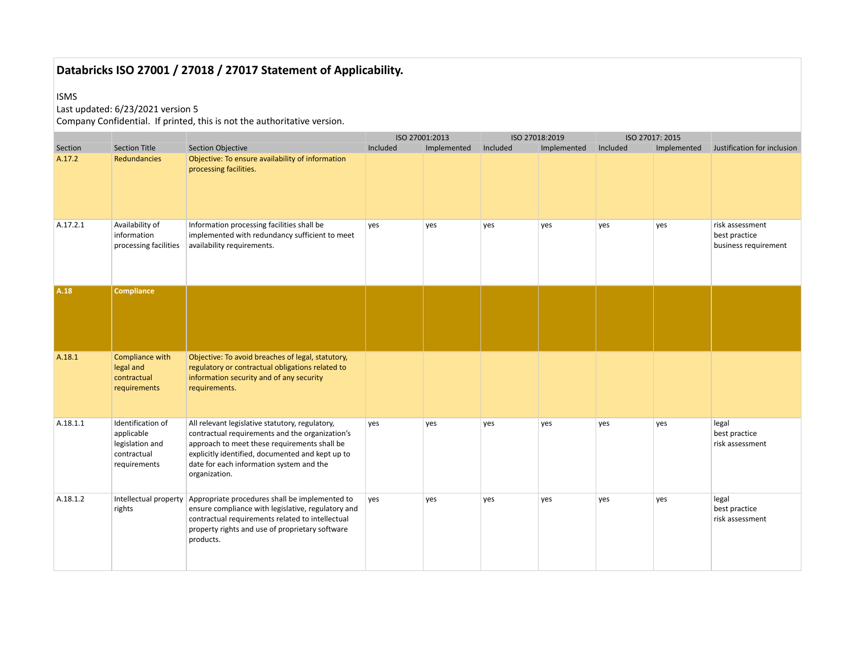#### ISMS

## Last updated: 6/23/2021 version 5

|          |                                                                                   |                                                                                                                                                                                                                                                                     |          | ISO 27001:2013 |          | ISO 27018:2019 |          | ISO 27017: 2015 |                                                          |
|----------|-----------------------------------------------------------------------------------|---------------------------------------------------------------------------------------------------------------------------------------------------------------------------------------------------------------------------------------------------------------------|----------|----------------|----------|----------------|----------|-----------------|----------------------------------------------------------|
| Section  | <b>Section Title</b>                                                              | <b>Section Objective</b>                                                                                                                                                                                                                                            | Included | Implemented    | Included | Implemented    | Included | Implemented     | Justification for inclusion                              |
| A.17.2   | <b>Redundancies</b>                                                               | Objective: To ensure availability of information<br>processing facilities.                                                                                                                                                                                          |          |                |          |                |          |                 |                                                          |
| A.17.2.1 | Availability of<br>information<br>processing facilities                           | Information processing facilities shall be<br>implemented with redundancy sufficient to meet<br>availability requirements.                                                                                                                                          | yes      | yes            | yes      | ves            | yes      | yes             | risk assessment<br>best practice<br>business requirement |
| A.18     | <b>Compliance</b>                                                                 |                                                                                                                                                                                                                                                                     |          |                |          |                |          |                 |                                                          |
| A.18.1   | Compliance with<br>legal and<br>contractual<br>requirements                       | Objective: To avoid breaches of legal, statutory,<br>regulatory or contractual obligations related to<br>information security and of any security<br>requirements.                                                                                                  |          |                |          |                |          |                 |                                                          |
| A.18.1.1 | Identification of<br>applicable<br>legislation and<br>contractual<br>requirements | All relevant legislative statutory, regulatory,<br>contractual requirements and the organization's<br>approach to meet these requirements shall be<br>explicitly identified, documented and kept up to<br>date for each information system and the<br>organization. | yes      | yes            | yes      | yes            | yes      | yes             | legal<br>best practice<br>risk assessment                |
| A.18.1.2 | rights                                                                            | Intellectual property Appropriate procedures shall be implemented to<br>ensure compliance with legislative, regulatory and<br>contractual requirements related to intellectual<br>property rights and use of proprietary software<br>products.                      | yes      | yes            | yes      | yes            | yes      | yes             | legal<br>best practice<br>risk assessment                |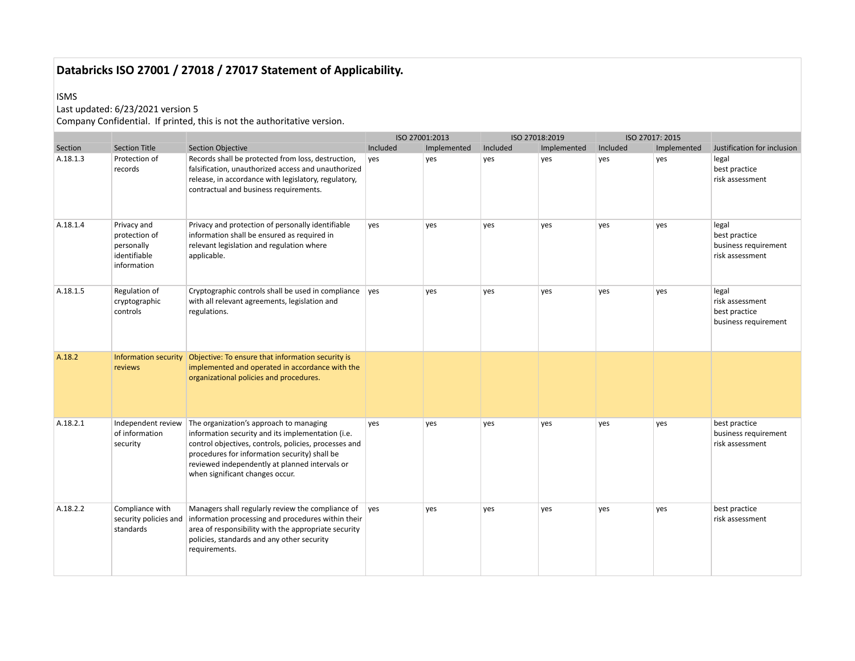#### ISMS

## Last updated: 6/23/2021 version 5

|          |                                                                           |                                                                                                                                                                                                                                                                                             |          | ISO 27001:2013 |          | ISO 27018:2019 | ISO 27017: 2015 |             |                                                                   |
|----------|---------------------------------------------------------------------------|---------------------------------------------------------------------------------------------------------------------------------------------------------------------------------------------------------------------------------------------------------------------------------------------|----------|----------------|----------|----------------|-----------------|-------------|-------------------------------------------------------------------|
| Section  | <b>Section Title</b>                                                      | <b>Section Objective</b>                                                                                                                                                                                                                                                                    | Included | Implemented    | Included | Implemented    | Included        | Implemented | Justification for inclusion                                       |
| A.18.1.3 | Protection of<br>records                                                  | Records shall be protected from loss, destruction,<br>falsification, unauthorized access and unauthorized<br>release, in accordance with legislatory, regulatory,<br>contractual and business requirements.                                                                                 | ves      | yes            | yes      | ves            | yes             | yes         | legal<br>best practice<br>risk assessment                         |
| A.18.1.4 | Privacy and<br>protection of<br>personally<br>identifiable<br>information | Privacy and protection of personally identifiable<br>information shall be ensured as required in<br>relevant legislation and regulation where<br>applicable.                                                                                                                                | yes      | yes            | yes      | yes            | yes             | ves         | legal<br>best practice<br>business requirement<br>risk assessment |
| A.18.1.5 | Regulation of<br>cryptographic<br>controls                                | Cryptographic controls shall be used in compliance ves<br>with all relevant agreements, legislation and<br>regulations.                                                                                                                                                                     |          | yes            | yes      | yes            | yes             | yes         | legal<br>risk assessment<br>best practice<br>business requirement |
| A.18.2   | reviews                                                                   | Information security Objective: To ensure that information security is<br>implemented and operated in accordance with the<br>organizational policies and procedures.                                                                                                                        |          |                |          |                |                 |             |                                                                   |
| A.18.2.1 | Independent review<br>of information<br>security                          | The organization's approach to managing<br>information security and its implementation (i.e.<br>control objectives, controls, policies, processes and<br>procedures for information security) shall be<br>reviewed independently at planned intervals or<br>when significant changes occur. | yes      | yes            | yes      | ves            | yes             | yes         | best practice<br>business requirement<br>risk assessment          |
| A.18.2.2 | Compliance with<br>security policies and<br>standards                     | Managers shall regularly review the compliance of<br>information processing and procedures within their<br>area of responsibility with the appropriate security<br>policies, standards and any other security<br>requirements.                                                              | ves      | yes            | yes      | yes            | yes             | yes         | best practice<br>risk assessment                                  |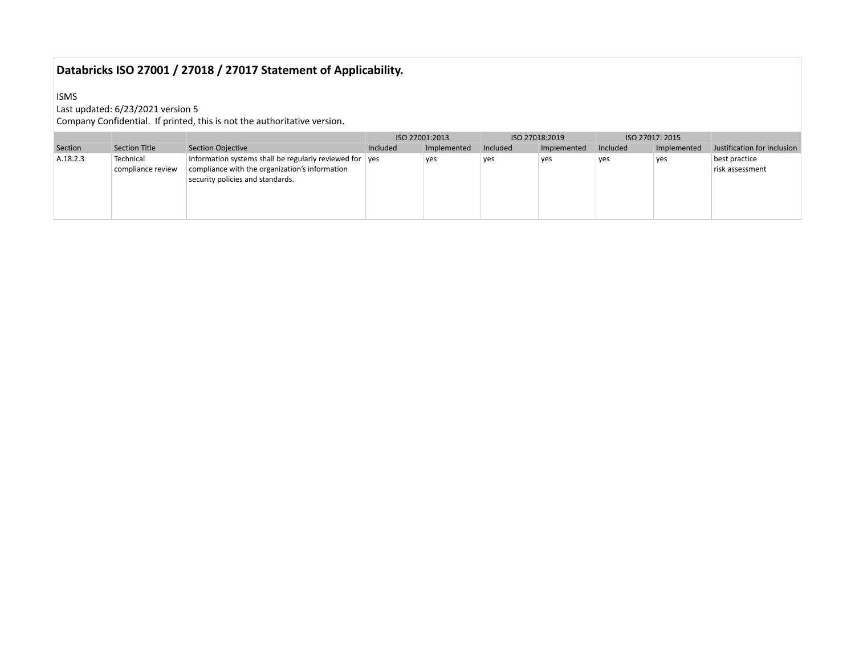ISMS

## Last updated: 6/23/2021 version 5

|          |                                |                                                                                                                                               |          | ISO 27001:2013 |          | ISO 27018:2019 |          | ISO 27017: 2015 |                                  |
|----------|--------------------------------|-----------------------------------------------------------------------------------------------------------------------------------------------|----------|----------------|----------|----------------|----------|-----------------|----------------------------------|
| Section  | Section Title                  | Section Objective                                                                                                                             | Included | Implemented    | Included | Implemented    | Included | Implemented     | Justification for inclusion      |
| A.18.2.3 | Technical<br>compliance review | Information systems shall be regularly reviewed for yes<br>compliance with the organization's information<br>security policies and standards. |          | yes            | yes      | yes            | yes      | yes             | best practice<br>risk assessment |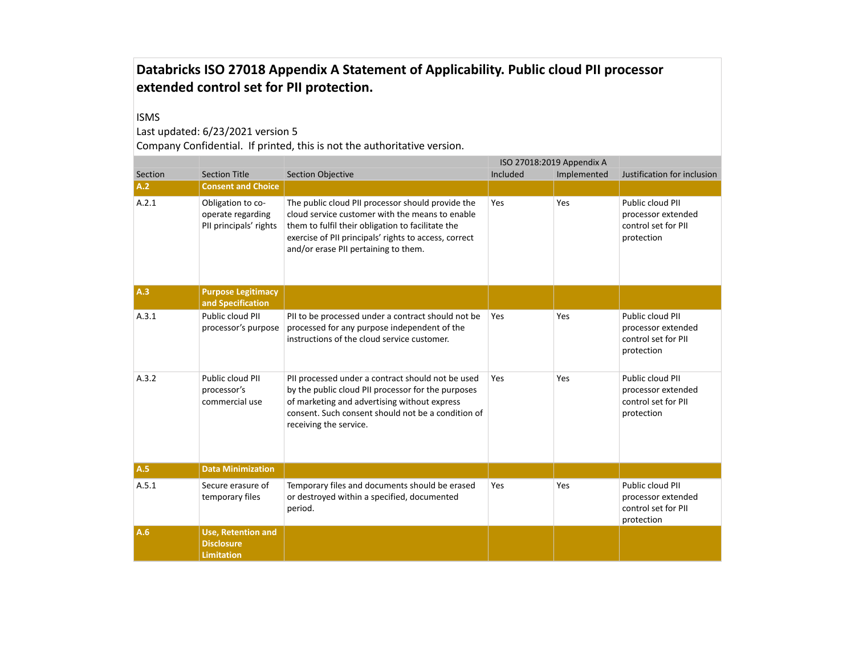#### ISMS

### Last updated: 6/23/2021 version 5

|         |                                                                     |                                                                                                                                                                                                                                                            |          | ISO 27018:2019 Appendix A |                                                                             |  |
|---------|---------------------------------------------------------------------|------------------------------------------------------------------------------------------------------------------------------------------------------------------------------------------------------------------------------------------------------------|----------|---------------------------|-----------------------------------------------------------------------------|--|
| Section | <b>Section Title</b>                                                | <b>Section Objective</b>                                                                                                                                                                                                                                   | Included | Implemented               | Justification for inclusion                                                 |  |
| A.2     | <b>Consent and Choice</b>                                           |                                                                                                                                                                                                                                                            |          |                           |                                                                             |  |
| A.2.1   | Obligation to co-<br>operate regarding<br>PII principals' rights    | The public cloud PII processor should provide the<br>cloud service customer with the means to enable<br>them to fulfil their obligation to facilitate the<br>exercise of PII principals' rights to access, correct<br>and/or erase PII pertaining to them. | Yes      | Yes                       | Public cloud PII<br>processor extended<br>control set for PII<br>protection |  |
| A.3     | <b>Purpose Legitimacy</b><br>and Specification                      |                                                                                                                                                                                                                                                            |          |                           |                                                                             |  |
| A.3.1   | Public cloud PII<br>processor's purpose                             | PII to be processed under a contract should not be<br>processed for any purpose independent of the<br>instructions of the cloud service customer.                                                                                                          | Yes      | Yes                       | Public cloud PII<br>processor extended<br>control set for PII<br>protection |  |
| A.3.2   | Public cloud PII<br>processor's<br>commercial use                   | PII processed under a contract should not be used<br>by the public cloud PII processor for the purposes<br>of marketing and advertising without express<br>consent. Such consent should not be a condition of<br>receiving the service.                    | Yes      | Yes                       | Public cloud PII<br>processor extended<br>control set for PII<br>protection |  |
| A.5     | <b>Data Minimization</b>                                            |                                                                                                                                                                                                                                                            |          |                           |                                                                             |  |
| A.5.1   | Secure erasure of<br>temporary files                                | Temporary files and documents should be erased<br>or destroyed within a specified, documented<br>period.                                                                                                                                                   | Yes      | Yes                       | Public cloud PII<br>processor extended<br>control set for PII<br>protection |  |
| A.6     | <b>Use, Retention and</b><br><b>Disclosure</b><br><b>Limitation</b> |                                                                                                                                                                                                                                                            |          |                           |                                                                             |  |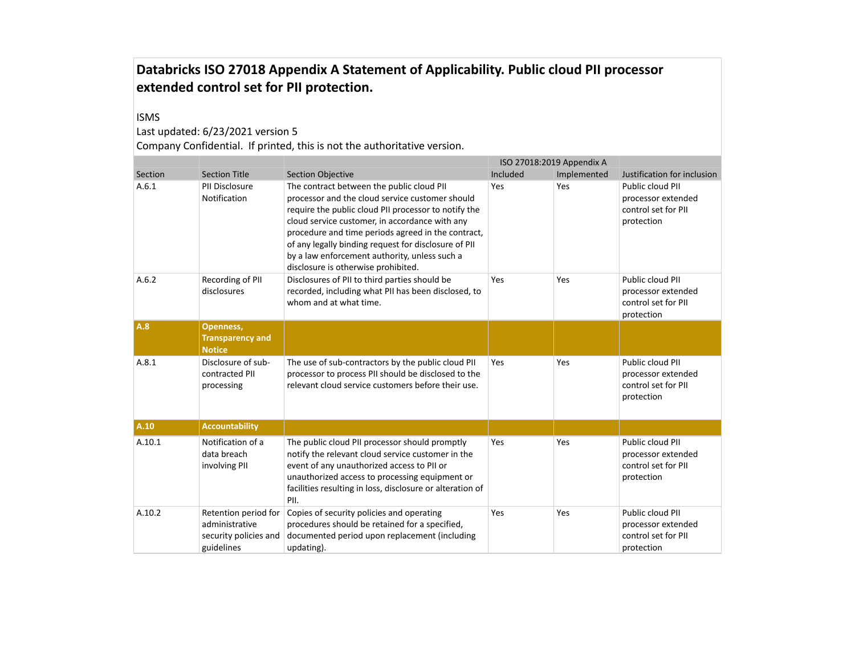#### ISMS

### Last updated: 6/23/2021 version 5

|         |                                                                               |                                                                                                                                                                                                                                                                                                                                                                                                              |          | ISO 27018:2019 Appendix A |                                                                             |
|---------|-------------------------------------------------------------------------------|--------------------------------------------------------------------------------------------------------------------------------------------------------------------------------------------------------------------------------------------------------------------------------------------------------------------------------------------------------------------------------------------------------------|----------|---------------------------|-----------------------------------------------------------------------------|
| Section | <b>Section Title</b>                                                          | <b>Section Objective</b>                                                                                                                                                                                                                                                                                                                                                                                     | Included | Implemented               | Justification for inclusion                                                 |
| A.6.1   | PII Disclosure<br>Notification                                                | The contract between the public cloud PII<br>processor and the cloud service customer should<br>require the public cloud PII processor to notify the<br>cloud service customer, in accordance with any<br>procedure and time periods agreed in the contract,<br>of any legally binding request for disclosure of PII<br>by a law enforcement authority, unless such a<br>disclosure is otherwise prohibited. | Yes      | Yes                       | Public cloud PII<br>processor extended<br>control set for PII<br>protection |
| A.6.2   | Recording of PII<br>disclosures                                               | Disclosures of PII to third parties should be<br>recorded, including what PII has been disclosed, to<br>whom and at what time.                                                                                                                                                                                                                                                                               | Yes      | Yes                       | Public cloud PII<br>processor extended<br>control set for PII<br>protection |
| A.8     | Openness,<br><b>Transparency and</b><br><b>Notice</b>                         |                                                                                                                                                                                                                                                                                                                                                                                                              |          |                           |                                                                             |
| A.8.1   | Disclosure of sub-<br>contracted PII<br>processing                            | The use of sub-contractors by the public cloud PII<br>processor to process PII should be disclosed to the<br>relevant cloud service customers before their use.                                                                                                                                                                                                                                              | Yes      | Yes                       | Public cloud PII<br>processor extended<br>control set for PII<br>protection |
| A.10    | <b>Accountability</b>                                                         |                                                                                                                                                                                                                                                                                                                                                                                                              |          |                           |                                                                             |
| A.10.1  | Notification of a<br>data breach<br>involving PII                             | The public cloud PII processor should promptly<br>notify the relevant cloud service customer in the<br>event of any unauthorized access to PII or<br>unauthorized access to processing equipment or<br>facilities resulting in loss, disclosure or alteration of<br>PII.                                                                                                                                     | Yes      | Yes                       | Public cloud PII<br>processor extended<br>control set for PII<br>protection |
| A.10.2  | Retention period for<br>administrative<br>security policies and<br>guidelines | Copies of security policies and operating<br>procedures should be retained for a specified,<br>documented period upon replacement (including<br>updating).                                                                                                                                                                                                                                                   | Yes      | Yes                       | Public cloud PII<br>processor extended<br>control set for PII<br>protection |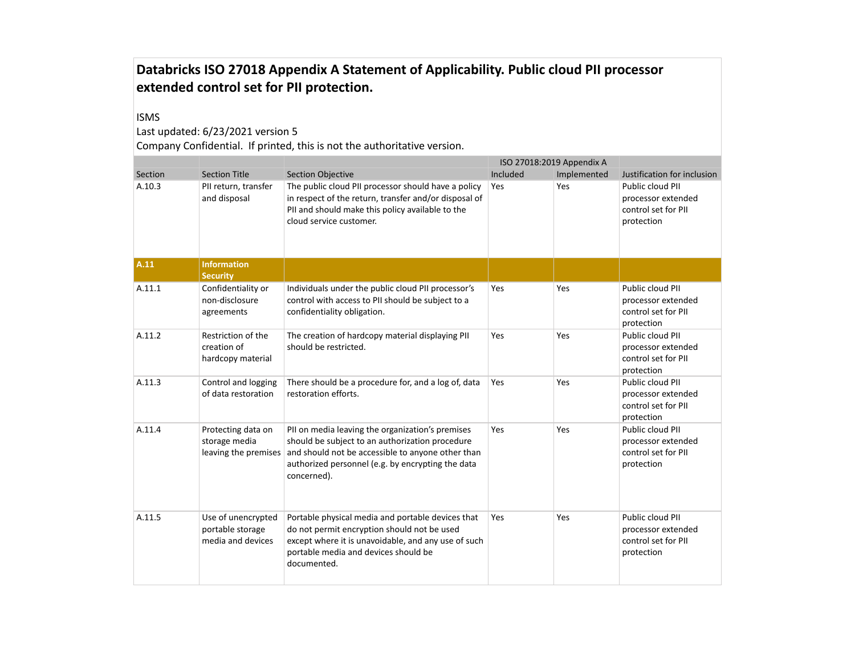#### ISMS

### Last updated: 6/23/2021 version 5

|         |                                                             |                                                                                                                                                                                                                              |          | ISO 27018:2019 Appendix A |                                                                             |
|---------|-------------------------------------------------------------|------------------------------------------------------------------------------------------------------------------------------------------------------------------------------------------------------------------------------|----------|---------------------------|-----------------------------------------------------------------------------|
| Section | <b>Section Title</b>                                        | <b>Section Objective</b>                                                                                                                                                                                                     | Included | Implemented               | Justification for inclusion                                                 |
| A.10.3  | PII return, transfer<br>and disposal                        | The public cloud PII processor should have a policy<br>in respect of the return, transfer and/or disposal of<br>PII and should make this policy available to the<br>cloud service customer.                                  | Yes      | Yes                       | Public cloud PII<br>processor extended<br>control set for PII<br>protection |
| A.11    | <b>Information</b><br><b>Security</b>                       |                                                                                                                                                                                                                              |          |                           |                                                                             |
| A.11.1  | Confidentiality or<br>non-disclosure<br>agreements          | Individuals under the public cloud PII processor's<br>control with access to PII should be subject to a<br>confidentiality obligation.                                                                                       | Yes      | Yes                       | Public cloud PII<br>processor extended<br>control set for PII<br>protection |
| A.11.2  | Restriction of the<br>creation of<br>hardcopy material      | The creation of hardcopy material displaying PII<br>should be restricted.                                                                                                                                                    | Yes      | Yes                       | Public cloud PII<br>processor extended<br>control set for PII<br>protection |
| A.11.3  | Control and logging<br>of data restoration                  | There should be a procedure for, and a log of, data<br>restoration efforts.                                                                                                                                                  | Yes      | Yes                       | Public cloud PII<br>processor extended<br>control set for PII<br>protection |
| A.11.4  | Protecting data on<br>storage media<br>leaving the premises | PII on media leaving the organization's premises<br>should be subject to an authorization procedure<br>and should not be accessible to anyone other than<br>authorized personnel (e.g. by encrypting the data<br>concerned). | Yes      | Yes                       | Public cloud PII<br>processor extended<br>control set for PII<br>protection |
| A.11.5  | Use of unencrypted<br>portable storage<br>media and devices | Portable physical media and portable devices that<br>do not permit encryption should not be used<br>except where it is unavoidable, and any use of such<br>portable media and devices should be<br>documented.               | Yes      | Yes                       | Public cloud PII<br>processor extended<br>control set for PII<br>protection |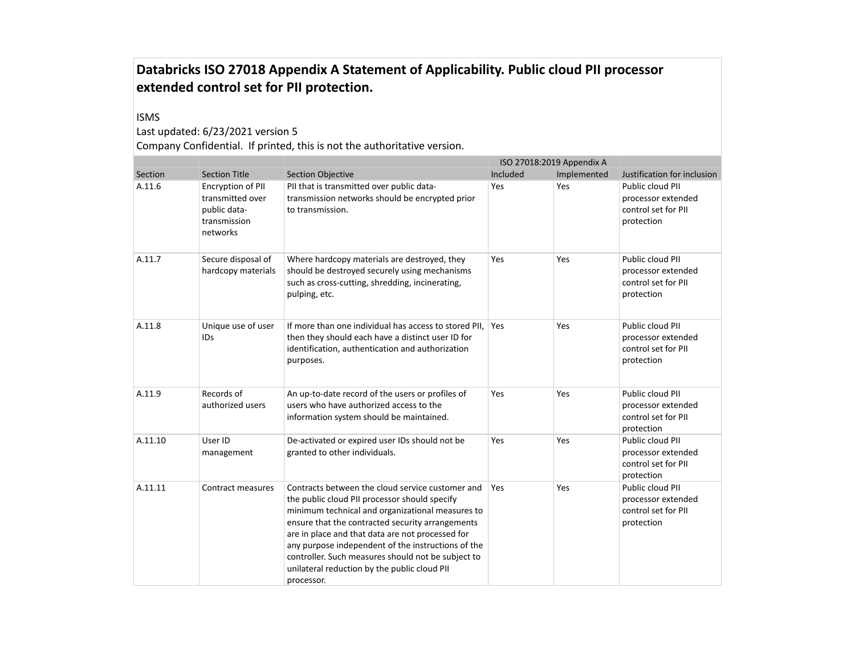#### ISMS

### Last updated: 6/23/2021 version 5

|         |                                                                                   |                                                                                                                                                                                                                                                                                                                                                                                                                                         |          | ISO 27018:2019 Appendix A |                                                                             |
|---------|-----------------------------------------------------------------------------------|-----------------------------------------------------------------------------------------------------------------------------------------------------------------------------------------------------------------------------------------------------------------------------------------------------------------------------------------------------------------------------------------------------------------------------------------|----------|---------------------------|-----------------------------------------------------------------------------|
| Section | <b>Section Title</b>                                                              | <b>Section Objective</b>                                                                                                                                                                                                                                                                                                                                                                                                                | Included | Implemented               | Justification for inclusion                                                 |
| A.11.6  | Encryption of PII<br>transmitted over<br>public data-<br>transmission<br>networks | PII that is transmitted over public data-<br>transmission networks should be encrypted prior<br>to transmission.                                                                                                                                                                                                                                                                                                                        | Yes      | Yes                       | Public cloud PII<br>processor extended<br>control set for PII<br>protection |
| A.11.7  | Secure disposal of<br>hardcopy materials                                          | Where hardcopy materials are destroyed, they<br>should be destroyed securely using mechanisms<br>such as cross-cutting, shredding, incinerating,<br>pulping, etc.                                                                                                                                                                                                                                                                       | Yes      | Yes                       | Public cloud PII<br>processor extended<br>control set for PII<br>protection |
| A.11.8  | Unique use of user<br>IDs                                                         | If more than one individual has access to stored PII,<br>then they should each have a distinct user ID for<br>identification, authentication and authorization<br>purposes.                                                                                                                                                                                                                                                             | Yes      | Yes                       | Public cloud PII<br>processor extended<br>control set for PII<br>protection |
| A.11.9  | Records of<br>authorized users                                                    | An up-to-date record of the users or profiles of<br>users who have authorized access to the<br>information system should be maintained.                                                                                                                                                                                                                                                                                                 | Yes      | Yes                       | Public cloud PII<br>processor extended<br>control set for PII<br>protection |
| A.11.10 | User ID<br>management                                                             | De-activated or expired user IDs should not be<br>granted to other individuals.                                                                                                                                                                                                                                                                                                                                                         | Yes      | Yes                       | Public cloud PII<br>processor extended<br>control set for PII<br>protection |
| A.11.11 | Contract measures                                                                 | Contracts between the cloud service customer and<br>the public cloud PII processor should specify<br>minimum technical and organizational measures to<br>ensure that the contracted security arrangements<br>are in place and that data are not processed for<br>any purpose independent of the instructions of the<br>controller. Such measures should not be subject to<br>unilateral reduction by the public cloud PII<br>processor. | Yes      | Yes                       | Public cloud PII<br>processor extended<br>control set for PII<br>protection |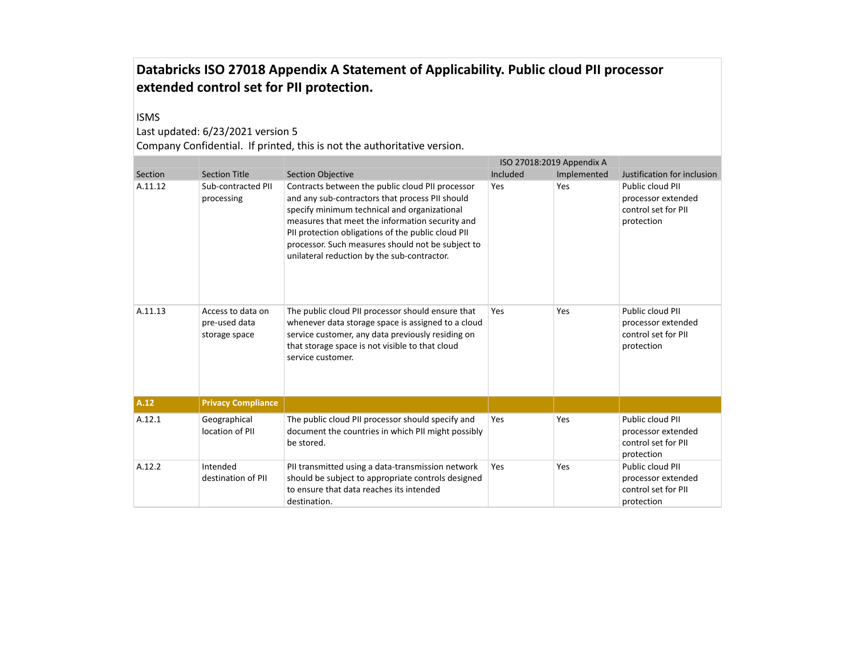#### ISMS

### Last updated: 6/23/2021 version 5

|         |                                                     |                                                                                                                                                                                                                                                                                                                                                                  | ISO 27018:2019 Appendix A |             |                                                                             |
|---------|-----------------------------------------------------|------------------------------------------------------------------------------------------------------------------------------------------------------------------------------------------------------------------------------------------------------------------------------------------------------------------------------------------------------------------|---------------------------|-------------|-----------------------------------------------------------------------------|
| Section | <b>Section Title</b>                                | <b>Section Objective</b>                                                                                                                                                                                                                                                                                                                                         | Included                  | Implemented | Justification for inclusion                                                 |
| A.11.12 | Sub-contracted PII<br>processing                    | Contracts between the public cloud PII processor<br>and any sub-contractors that process PII should<br>specify minimum technical and organizational<br>measures that meet the information security and<br>PII protection obligations of the public cloud PII<br>processor. Such measures should not be subject to<br>unilateral reduction by the sub-contractor. | Yes                       | Yes         | Public cloud PII<br>processor extended<br>control set for PII<br>protection |
| A.11.13 | Access to data on<br>pre-used data<br>storage space | The public cloud PII processor should ensure that<br>whenever data storage space is assigned to a cloud<br>service customer, any data previously residing on<br>that storage space is not visible to that cloud<br>service customer.                                                                                                                             | Yes                       | Yes         | Public cloud PII<br>processor extended<br>control set for PII<br>protection |
| A.12    | <b>Privacy Compliance</b>                           |                                                                                                                                                                                                                                                                                                                                                                  |                           |             |                                                                             |
| A.12.1  | Geographical<br>location of PII                     | The public cloud PII processor should specify and<br>document the countries in which PII might possibly<br>be stored.                                                                                                                                                                                                                                            | Yes                       | Yes         | Public cloud PII<br>processor extended<br>control set for PII<br>protection |
| A.12.2  | Intended<br>destination of PII                      | PII transmitted using a data-transmission network<br>should be subject to appropriate controls designed<br>to ensure that data reaches its intended<br>destination.                                                                                                                                                                                              | Yes                       | Yes         | Public cloud PII<br>processor extended<br>control set for PII<br>protection |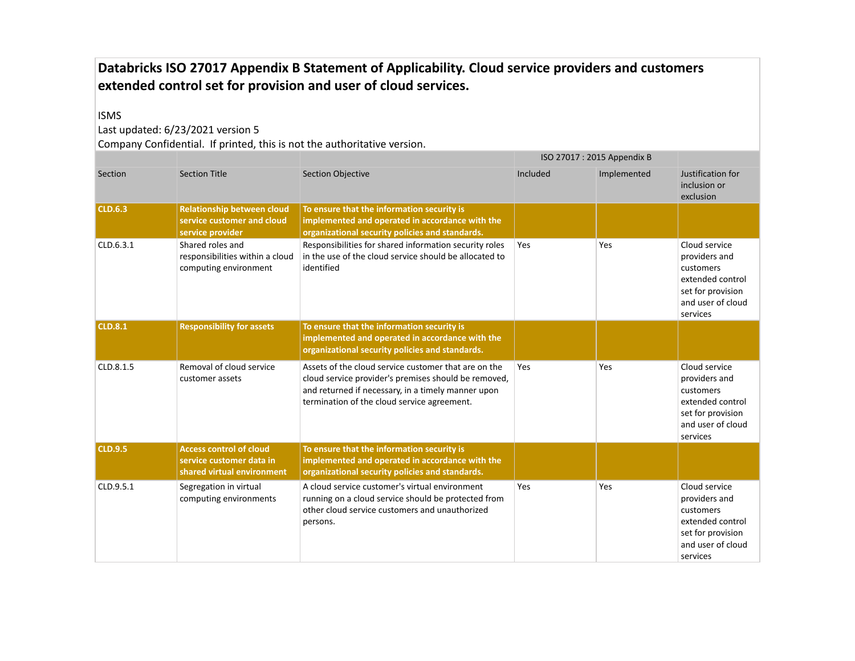# **Databricks ISO 27017 Appendix B Statement of Applicability. Cloud service providers and customers extended control set for provision and user of cloud services.**

#### ISMS

Last updated: 6/23/2021 version 5

|                |                                                                                          |                                                                                                                                                                                                                   | ISO 27017: 2015 Appendix B |             |                                                                                                                       |
|----------------|------------------------------------------------------------------------------------------|-------------------------------------------------------------------------------------------------------------------------------------------------------------------------------------------------------------------|----------------------------|-------------|-----------------------------------------------------------------------------------------------------------------------|
| Section        | <b>Section Title</b>                                                                     | <b>Section Objective</b>                                                                                                                                                                                          | Included                   | Implemented | Justification for<br>inclusion or<br>exclusion                                                                        |
| <b>CLD.6.3</b> | <b>Relationship between cloud</b><br>service customer and cloud<br>service provider      | To ensure that the information security is<br>implemented and operated in accordance with the<br>organizational security policies and standards.                                                                  |                            |             |                                                                                                                       |
| CLD.6.3.1      | Shared roles and<br>responsibilities within a cloud<br>computing environment             | Responsibilities for shared information security roles<br>in the use of the cloud service should be allocated to<br>identified                                                                                    | Yes                        | Yes         | Cloud service<br>providers and<br>customers<br>extended control<br>set for provision<br>and user of cloud<br>services |
| <b>CLD.8.1</b> | <b>Responsibility for assets</b>                                                         | To ensure that the information security is<br>implemented and operated in accordance with the<br>organizational security policies and standards.                                                                  |                            |             |                                                                                                                       |
| CLD.8.1.5      | Removal of cloud service<br>customer assets                                              | Assets of the cloud service customer that are on the<br>cloud service provider's premises should be removed,<br>and returned if necessary, in a timely manner upon<br>termination of the cloud service agreement. | Yes                        | Yes         | Cloud service<br>providers and<br>customers<br>extended control<br>set for provision<br>and user of cloud<br>services |
| <b>CLD.9.5</b> | <b>Access control of cloud</b><br>service customer data in<br>shared virtual environment | To ensure that the information security is<br>implemented and operated in accordance with the<br>organizational security policies and standards.                                                                  |                            |             |                                                                                                                       |
| CLD.9.5.1      | Segregation in virtual<br>computing environments                                         | A cloud service customer's virtual environment<br>running on a cloud service should be protected from<br>other cloud service customers and unauthorized<br>persons.                                               | Yes                        | Yes         | Cloud service<br>providers and<br>customers<br>extended control<br>set for provision<br>and user of cloud<br>services |